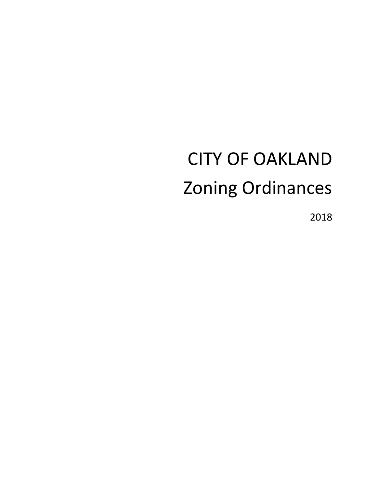# CITY OF OAKLAND Zoning Ordinances

2018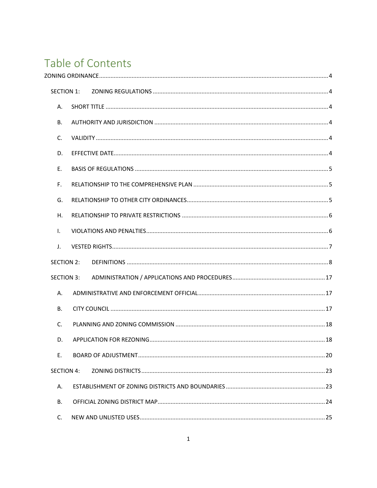# Table of Contents

| <b>SECTION 1:</b> |  |  |  |  |
|-------------------|--|--|--|--|
| А.                |  |  |  |  |
| В.                |  |  |  |  |
| C.                |  |  |  |  |
| D.                |  |  |  |  |
| Ε.                |  |  |  |  |
| F.                |  |  |  |  |
| G.                |  |  |  |  |
| Η.                |  |  |  |  |
| L.                |  |  |  |  |
| J.                |  |  |  |  |
| <b>SECTION 2:</b> |  |  |  |  |
| <b>SECTION 3:</b> |  |  |  |  |
| A.                |  |  |  |  |
| <b>B.</b>         |  |  |  |  |
| C.                |  |  |  |  |
| D.                |  |  |  |  |
| Ε.                |  |  |  |  |
| <b>SECTION 4:</b> |  |  |  |  |
| А.                |  |  |  |  |
| <b>B.</b>         |  |  |  |  |
| C.                |  |  |  |  |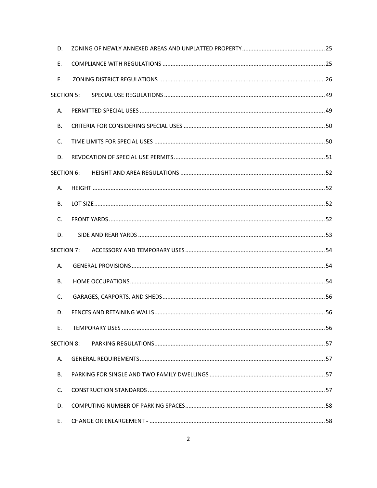| D.                |  |  |  |  |
|-------------------|--|--|--|--|
| Е.                |  |  |  |  |
| F.                |  |  |  |  |
| <b>SECTION 5:</b> |  |  |  |  |
| А.                |  |  |  |  |
| В.                |  |  |  |  |
| C.                |  |  |  |  |
| D.                |  |  |  |  |
| SECTION 6:        |  |  |  |  |
| А.                |  |  |  |  |
| В.                |  |  |  |  |
| C.                |  |  |  |  |
| D.                |  |  |  |  |
| SECTION 7:        |  |  |  |  |
| А.                |  |  |  |  |
| В.                |  |  |  |  |
| C.                |  |  |  |  |
| D.                |  |  |  |  |
| Е.                |  |  |  |  |
| <b>SECTION 8:</b> |  |  |  |  |
| А.                |  |  |  |  |
| В.                |  |  |  |  |
| C.                |  |  |  |  |
| D.                |  |  |  |  |
| Ε.                |  |  |  |  |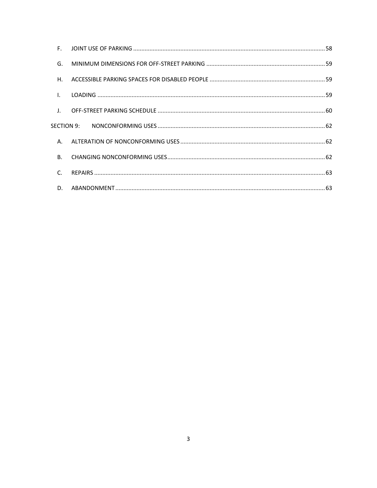| F.             |  |
|----------------|--|
| G.             |  |
| Η.             |  |
| $\mathbf{I}$ . |  |
| $\perp$ .      |  |
| SECTION 9:     |  |
| A.             |  |
| <b>B.</b>      |  |
| C.             |  |
| D.             |  |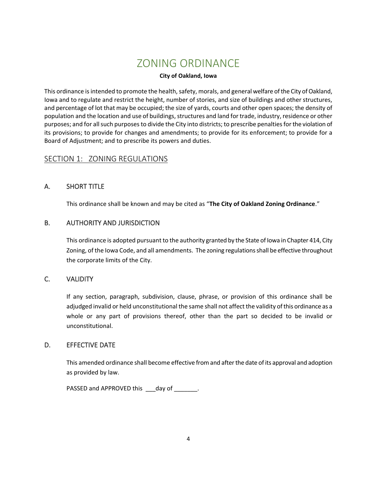# ZONING ORDINANCE

### **City of Oakland, Iowa**

<span id="page-4-0"></span>This ordinance is intended to promote the health, safety, morals, and general welfare of the City of Oakland, Iowa and to regulate and restrict the height, number of stories, and size of buildings and other structures, and percentage of lot that may be occupied; the size of yards, courts and other open spaces; the density of population and the location and use of buildings, structures and land for trade, industry, residence or other purposes; and for all such purposes to divide the City into districts; to prescribe penalties for the violation of its provisions; to provide for changes and amendments; to provide for its enforcement; to provide for a Board of Adjustment; and to prescribe its powers and duties.

# <span id="page-4-1"></span>SECTION 1: ZONING REGULATIONS

# <span id="page-4-2"></span>A. SHORT TITLE

This ordinance shall be known and may be cited as "**The City of Oakland Zoning Ordinance**."

# <span id="page-4-3"></span>B. AUTHORITY AND JURISDICTION

This ordinance is adopted pursuant to the authority granted by the State of Iowa in Chapter 414, City Zoning, of the Iowa Code, and all amendments. The zoning regulations shall be effective throughout the corporate limits of the City.

# <span id="page-4-4"></span>C. VALIDITY

If any section, paragraph, subdivision, clause, phrase, or provision of this ordinance shall be adjudged invalid or held unconstitutional the same shall not affect the validity of this ordinance as a whole or any part of provisions thereof, other than the part so decided to be invalid or unconstitutional.

# <span id="page-4-5"></span>D. EFFECTIVE DATE

This amended ordinance shall become effective from and after the date of its approval and adoption as provided by law.

PASSED and APPROVED this \_\_\_day of \_\_\_\_\_\_\_.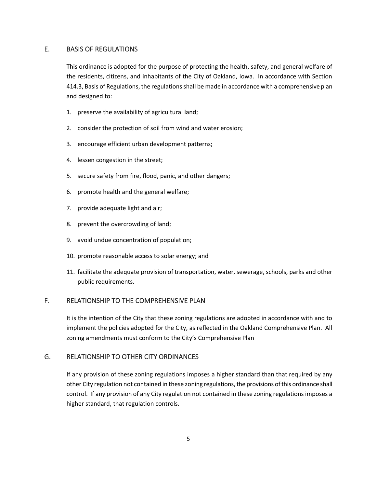# <span id="page-5-0"></span>E. BASIS OF REGULATIONS

This ordinance is adopted for the purpose of protecting the health, safety, and general welfare of the residents, citizens, and inhabitants of the City of Oakland, Iowa. In accordance with Section 414.3, Basis of Regulations, the regulations shall be made in accordance with a comprehensive plan and designed to:

- 1. preserve the availability of agricultural land;
- 2. consider the protection of soil from wind and water erosion;
- 3. encourage efficient urban development patterns;
- 4. lessen congestion in the street;
- 5. secure safety from fire, flood, panic, and other dangers;
- 6. promote health and the general welfare;
- 7. provide adequate light and air;
- 8. prevent the overcrowding of land;
- 9. avoid undue concentration of population;
- 10. promote reasonable access to solar energy; and
- 11. facilitate the adequate provision of transportation, water, sewerage, schools, parks and other public requirements.

#### <span id="page-5-1"></span>F. RELATIONSHIP TO THE COMPREHENSIVE PLAN

It is the intention of the City that these zoning regulations are adopted in accordance with and to implement the policies adopted for the City, as reflected in the Oakland Comprehensive Plan. All zoning amendments must conform to the City's Comprehensive Plan

#### <span id="page-5-2"></span>G. RELATIONSHIP TO OTHER CITY ORDINANCES

If any provision of these zoning regulations imposes a higher standard than that required by any other City regulation not contained in these zoning regulations, the provisions of this ordinance shall control. If any provision of any City regulation not contained in these zoning regulations imposes a higher standard, that regulation controls.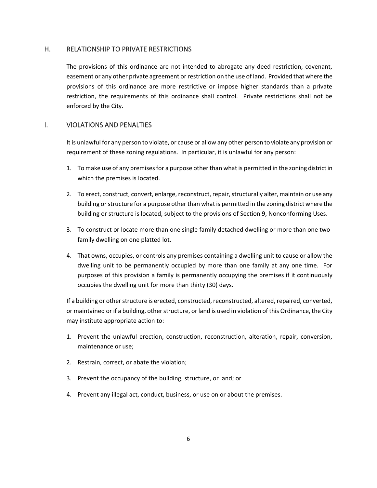#### <span id="page-6-0"></span>H. RELATIONSHIP TO PRIVATE RESTRICTIONS

The provisions of this ordinance are not intended to abrogate any deed restriction, covenant, easement or any other private agreement or restriction on the use of land. Provided that where the provisions of this ordinance are more restrictive or impose higher standards than a private restriction, the requirements of this ordinance shall control. Private restrictions shall not be enforced by the City.

# <span id="page-6-1"></span>I. VIOLATIONS AND PENALTIES

It is unlawful for any person to violate, or cause or allow any other person to violate any provision or requirement of these zoning regulations. In particular, it is unlawful for any person:

- 1. To make use of any premises for a purpose other than what is permitted in the zoning district in which the premises is located.
- 2. To erect, construct, convert, enlarge, reconstruct, repair, structurally alter, maintain or use any building or structure for a purpose other than what is permitted in the zoning district where the building or structure is located, subject to the provisions of Section 9, Nonconforming Uses.
- 3. To construct or locate more than one single family detached dwelling or more than one twofamily dwelling on one platted lot.
- 4. That owns, occupies, or controls any premises containing a dwelling unit to cause or allow the dwelling unit to be permanently occupied by more than one family at any one time. For purposes of this provision a family is permanently occupying the premises if it continuously occupies the dwelling unit for more than thirty (30) days.

If a building or other structure is erected, constructed, reconstructed, altered, repaired, converted, or maintained or if a building, other structure, or land is used in violation of this Ordinance, the City may institute appropriate action to:

- 1. Prevent the unlawful erection, construction, reconstruction, alteration, repair, conversion, maintenance or use;
- 2. Restrain, correct, or abate the violation;
- 3. Prevent the occupancy of the building, structure, or land; or
- 4. Prevent any illegal act, conduct, business, or use on or about the premises.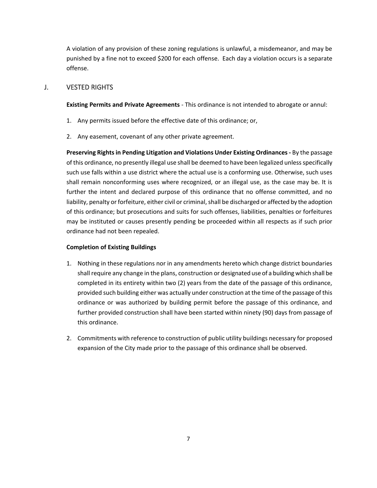A violation of any provision of these zoning regulations is unlawful, a misdemeanor, and may be punished by a fine not to exceed \$200 for each offense. Each day a violation occurs is a separate offense.

#### <span id="page-7-0"></span>J. VESTED RIGHTS

**Existing Permits and Private Agreements** *-* This ordinance is not intended to abrogate or annul:

- 1. Any permits issued before the effective date of this ordinance; or,
- 2. Any easement, covenant of any other private agreement.

**Preserving Rights in Pending Litigation and Violations Under Existing Ordinances -** By the passage of this ordinance, no presently illegal use shall be deemed to have been legalized unless specifically such use falls within a use district where the actual use is a conforming use. Otherwise, such uses shall remain nonconforming uses where recognized, or an illegal use, as the case may be. It is further the intent and declared purpose of this ordinance that no offense committed, and no liability, penalty or forfeiture, either civil or criminal, shall be discharged or affected by the adoption of this ordinance; but prosecutions and suits for such offenses, liabilities, penalties or forfeitures may be instituted or causes presently pending be proceeded within all respects as if such prior ordinance had not been repealed.

#### **Completion of Existing Buildings**

- 1. Nothing in these regulations nor in any amendments hereto which change district boundaries shall require any change in the plans, construction or designated use of a building which shall be completed in its entirety within two (2) years from the date of the passage of this ordinance, provided such building either was actually under construction at the time of the passage of this ordinance or was authorized by building permit before the passage of this ordinance, and further provided construction shall have been started within ninety (90) days from passage of this ordinance.
- 2. Commitments with reference to construction of public utility buildings necessary for proposed expansion of the City made prior to the passage of this ordinance shall be observed.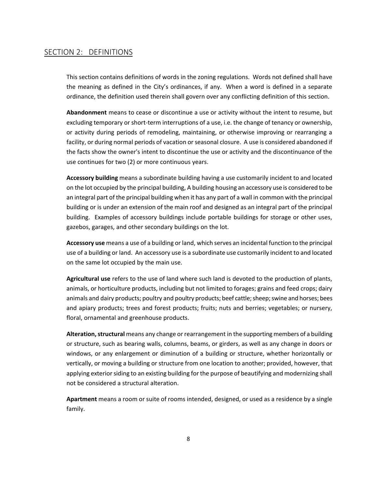# <span id="page-8-0"></span>SECTION 2: DEFINITIONS

This section contains definitions of words in the zoning regulations. Words not defined shall have the meaning as defined in the City's ordinances, if any. When a word is defined in a separate ordinance, the definition used therein shall govern over any conflicting definition of this section.

**Abandonment** means to cease or discontinue a use or activity without the intent to resume, but excluding temporary or short-term interruptions of a use, i.e. the change of tenancy or ownership, or activity during periods of remodeling, maintaining, or otherwise improving or rearranging a facility, or during normal periods of vacation or seasonal closure. A use is considered abandoned if the facts show the owner's intent to discontinue the use or activity and the discontinuance of the use continues for two (2) or more continuous years.

**Accessory building** means a subordinate building having a use customarily incident to and located on the lot occupied by the principal building, A building housing an accessory use is considered to be an integral part of the principal building when it has any part of a wall in common with the principal building or is under an extension of the main roof and designed as an integral part of the principal building. Examples of accessory buildings include portable buildings for storage or other uses, gazebos, garages, and other secondary buildings on the lot.

**Accessory use** means a use of a building or land, which serves an incidental function to the principal use of a building or land. An accessory use is a subordinate use customarily incident to and located on the same lot occupied by the main use.

**Agricultural use** refers to the use of land where such land is devoted to the production of plants, animals, or horticulture products, including but not limited to forages; grains and feed crops; dairy animals and dairy products; poultry and poultry products; beef cattle; sheep; swine and horses; bees and apiary products; trees and forest products; fruits; nuts and berries; vegetables; or nursery, floral, ornamental and greenhouse products.

**Alteration, structural** means any change or rearrangement in the supporting members of a building or structure, such as bearing walls, columns, beams, or girders, as well as any change in doors or windows, or any enlargement or diminution of a building or structure, whether horizontally or vertically, or moving a building or structure from one location to another; provided, however, that applying exterior siding to an existing building for the purpose of beautifying and modernizing shall not be considered a structural alteration.

**Apartment** means a room or suite of rooms intended, designed, or used as a residence by a single family.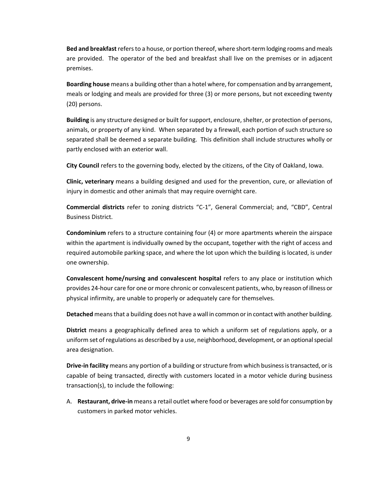**Bed and breakfast** refers to a house, or portion thereof, where short-term lodging rooms and meals are provided. The operator of the bed and breakfast shall live on the premises or in adjacent premises.

**Boarding house** means a building other than a hotel where, for compensation and by arrangement, meals or lodging and meals are provided for three (3) or more persons, but not exceeding twenty (20) persons.

**Building** is any structure designed or built for support, enclosure, shelter, or protection of persons, animals, or property of any kind. When separated by a firewall, each portion of such structure so separated shall be deemed a separate building. This definition shall include structures wholly or partly enclosed with an exterior wall.

**City Council** refers to the governing body, elected by the citizens, of the City of Oakland, Iowa.

**Clinic, veterinary** means a building designed and used for the prevention, cure, or alleviation of injury in domestic and other animals that may require overnight care.

**Commercial districts** refer to zoning districts "C-1", General Commercial; and, "CBD", Central Business District.

**Condominium** refers to a structure containing four (4) or more apartments wherein the airspace within the apartment is individually owned by the occupant, together with the right of access and required automobile parking space, and where the lot upon which the building is located, is under one ownership.

**Convalescent home/nursing and convalescent hospital** refers to any place or institution which provides 24-hour care for one or more chronic or convalescent patients, who, by reason of illness or physical infirmity, are unable to properly or adequately care for themselves.

**Detached** means that a building does not have a wall in common or in contact with another building.

**District** means a geographically defined area to which a uniform set of regulations apply, or a uniform set of regulations as described by a use, neighborhood, development, or an optional special area designation.

**Drive-in facility** means any portion of a building or structure from which business is transacted, or is capable of being transacted, directly with customers located in a motor vehicle during business transaction(s), to include the following:

A. **Restaurant, drive-in** means a retail outlet where food or beverages are sold for consumption by customers in parked motor vehicles.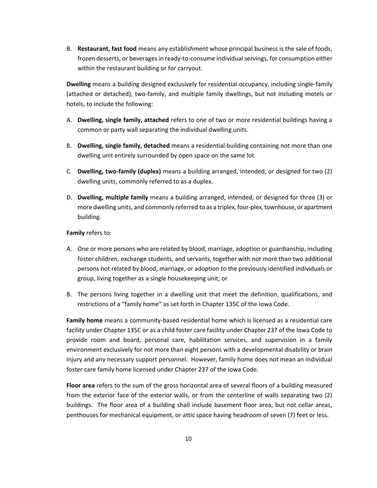B. **Restaurant, fast food** means any establishment whose principal business is the sale of foods, frozen desserts, or beverages in ready-to-consume individual servings, for consumption either within the restaurant building or for carryout.

**Dwelling** means a building designed exclusively for residential occupancy, including single-family (attached or detached), two-family, and multiple family dwellings, but not including motels or hotels, to include the following:

- A. **Dwelling, single family, attached** refers to one of two or more residential buildings having a common or party wall separating the individual dwelling units.
- B. **Dwelling, single family, detached** means a residential building containing not more than one dwelling unit entirely surrounded by open space on the same lot.
- C*.* **Dwelling, two-family (duplex)** means a building arranged, intended, or designed for two (2) dwelling units, commonly referred to as a duplex.
- D. **Dwelling, multiple family** means a building arranged, intended, or designed for three (3) or more dwelling units, and commonly referred to as a triplex, four-plex, townhouse, or apartment building.

#### **Family** refers to:

- A. One or more persons who are related by blood, marriage, adoption or guardianship, including foster children, exchange students, and servants, together with not more than two additional persons not related by blood, marriage, or adoption to the previously identified individuals or group, living together as a single housekeeping unit; or
- B. The persons living together in a dwelling unit that meet the definition, qualifications, and restrictions of a "family home" as set forth in Chapter 135C of the Iowa Code.

**Family home** means a community-based residential home which is licensed as a residential care facility under Chapter 135C or as a child foster care facility under Chapter 237 of the Iowa Code to provide room and board, personal care, habilitation services, and supervision in a family environment exclusively for not more than eight persons with a developmental disability or brain injury and any necessary support personnel. However, family home does not mean an individual foster care family home licensed under Chapter 237 of the Iowa Code.

**Floor area** refers to the sum of the gross horizontal area of several floors of a building measured from the exterior face of the exterior walls, or from the centerline of walls separating two (2) buildings. The floor area of a building shall include basement floor area, but not cellar areas, penthouses for mechanical equipment, or attic space having headroom of seven (7) feet or less.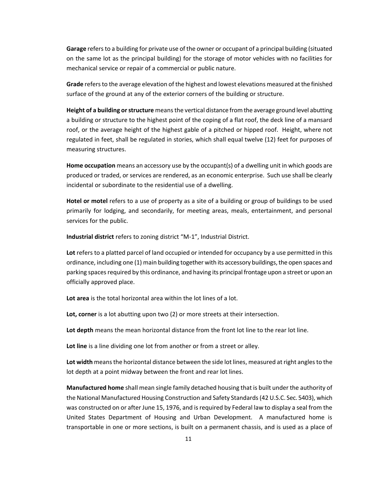**Garage** refers to a building for private use of the owner or occupant of a principal building (situated on the same lot as the principal building) for the storage of motor vehicles with no facilities for mechanical service or repair of a commercial or public nature.

**Grade** refers to the average elevation of the highest and lowest elevations measured at the finished surface of the ground at any of the exterior corners of the building or structure.

**Height of a building or structure** means the vertical distance from the average ground level abutting a building or structure to the highest point of the coping of a flat roof, the deck line of a mansard roof, or the average height of the highest gable of a pitched or hipped roof. Height, where not regulated in feet, shall be regulated in stories, which shall equal twelve (12) feet for purposes of measuring structures.

**Home occupation** means an accessory use by the occupant(s) of a dwelling unit in which goods are produced or traded, or services are rendered, as an economic enterprise. Such use shall be clearly incidental or subordinate to the residential use of a dwelling.

**Hotel or motel** refers to a use of property as a site of a building or group of buildings to be used primarily for lodging, and secondarily, for meeting areas, meals, entertainment, and personal services for the public.

**Industrial district** refers to zoning district "M-1", Industrial District.

**Lot** refers to a platted parcel of land occupied or intended for occupancy by a use permitted in this ordinance, including one (1) main building together with its accessory buildings, the open spaces and parking spaces required by this ordinance, and having its principal frontage upon a street or upon an officially approved place.

**Lot area** is the total horizontal area within the lot lines of a lot.

**Lot, corner** is a lot abutting upon two (2) or more streets at their intersection.

**Lot depth** means the mean horizontal distance from the front lot line to the rear lot line.

**Lot line** is a line dividing one lot from another or from a street or alley.

**Lot width** means the horizontal distance between the side lot lines, measured at right angles to the lot depth at a point midway between the front and rear lot lines.

**Manufactured home** shall mean single family detached housing that is built under the authority of the National Manufactured Housing Construction and Safety Standards (42 U.S.C. Sec. 5403), which was constructed on or after June 15, 1976, and is required by Federal law to display a seal from the United States Department of Housing and Urban Development. A manufactured home is transportable in one or more sections, is built on a permanent chassis, and is used as a place of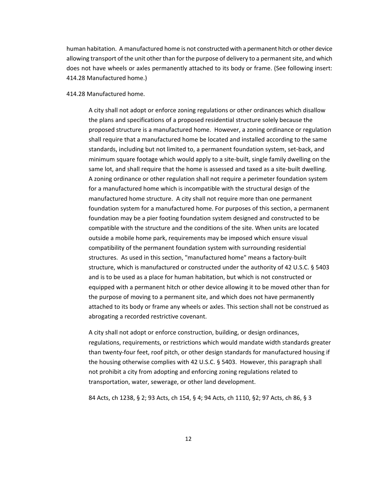human habitation. A manufactured home is not constructed with a permanent hitch or other device allowing transport of the unit other than for the purpose of delivery to a permanent site, and which does not have wheels or axles permanently attached to its body or frame. (See following insert: 414.28 Manufactured home.)

#### 414.28 Manufactured home.

A city shall not adopt or enforce zoning regulations or other ordinances which disallow the plans and specifications of a proposed residential structure solely because the proposed structure is a manufactured home. However, a zoning ordinance or regulation shall require that a manufactured home be located and installed according to the same standards, including but not limited to, a permanent foundation system, set-back, and minimum square footage which would apply to a site-built, single family dwelling on the same lot, and shall require that the home is assessed and taxed as a site-built dwelling. A zoning ordinance or other regulation shall not require a perimeter foundation system for a manufactured home which is incompatible with the structural design of the manufactured home structure. A city shall not require more than one permanent foundation system for a manufactured home. For purposes of this section, a permanent foundation may be a pier footing foundation system designed and constructed to be compatible with the structure and the conditions of the site. When units are located outside a mobile home park, requirements may be imposed which ensure visual compatibility of the permanent foundation system with surrounding residential structures. As used in this section, "manufactured home" means a factory-built structure, which is manufactured or constructed under the authority of 42 U.S.C. § 5403 and is to be used as a place for human habitation, but which is not constructed or equipped with a permanent hitch or other device allowing it to be moved other than for the purpose of moving to a permanent site, and which does not have permanently attached to its body or frame any wheels or axles. This section shall not be construed as abrogating a recorded restrictive covenant.

A city shall not adopt or enforce construction, building, or design ordinances, regulations, requirements, or restrictions which would mandate width standards greater than twenty-four feet, roof pitch, or other design standards for manufactured housing if the housing otherwise complies with 42 U.S.C. § 5403. However, this paragraph shall not prohibit a city from adopting and enforcing zoning regulations related to transportation, water, sewerage, or other land development.

84 Acts, ch 1238, § 2; 93 Acts, ch 154, § 4; 94 Acts, ch 1110, §2; 97 Acts, ch 86, § 3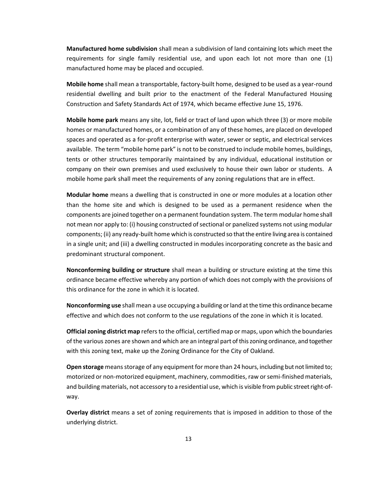**Manufactured home subdivision** shall mean a subdivision of land containing lots which meet the requirements for single family residential use, and upon each lot not more than one (1) manufactured home may be placed and occupied.

**Mobile home** shall mean a transportable, factory-built home, designed to be used as a year-round residential dwelling and built prior to the enactment of the Federal Manufactured Housing Construction and Safety Standards Act of 1974, which became effective June 15, 1976.

**Mobile home park** means any site, lot, field or tract of land upon which three (3) or more mobile homes or manufactured homes, or a combination of any of these homes, are placed on developed spaces and operated as a for-profit enterprise with water, sewer or septic, and electrical services available. The term "mobile home park" is not to be construed to include mobile homes, buildings, tents or other structures temporarily maintained by any individual, educational institution or company on their own premises and used exclusively to house their own labor or students. A mobile home park shall meet the requirements of any zoning regulations that are in effect.

**Modular home** means a dwelling that is constructed in one or more modules at a location other than the home site and which is designed to be used as a permanent residence when the components are joined together on a permanent foundation system. The term modular home shall not mean nor apply to: (i) housing constructed of sectional or panelized systems not using modular components; (ii) any ready-built home which is constructed so that the entire living area is contained in a single unit; and (iii) a dwelling constructed in modules incorporating concrete as the basic and predominant structural component.

**Nonconforming building or structure** shall mean a building or structure existing at the time this ordinance became effective whereby any portion of which does not comply with the provisions of this ordinance for the zone in which it is located.

**Nonconforming use** shall mean a use occupying a building or land at the time this ordinance became effective and which does not conform to the use regulations of the zone in which it is located.

**Official zoning district map** refers to the official, certified map or maps, upon which the boundaries of the various zones are shown and which are an integral part of this zoning ordinance, and together with this zoning text, make up the Zoning Ordinance for the City of Oakland.

**Open storage** means storage of any equipment for more than 24 hours, including but not limited to; motorized or non-motorized equipment, machinery, commodities, raw or semi-finished materials, and building materials, not accessory to a residential use, which is visible from public street right-ofway.

**Overlay district** means a set of zoning requirements that is imposed in addition to those of the underlying district.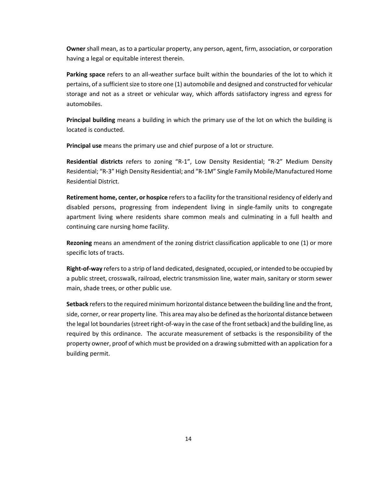**Owner** shall mean, as to a particular property, any person, agent, firm, association, or corporation having a legal or equitable interest therein.

**Parking space** refers to an all-weather surface built within the boundaries of the lot to which it pertains, of a sufficient size to store one (1) automobile and designed and constructed for vehicular storage and not as a street or vehicular way, which affords satisfactory ingress and egress for automobiles.

**Principal building** means a building in which the primary use of the lot on which the building is located is conducted.

**Principal use** means the primary use and chief purpose of a lot or structure.

**Residential districts** refers to zoning "R-1", Low Density Residential; "R-2" Medium Density Residential; "R-3" High Density Residential; and "R-1M" Single Family Mobile/Manufactured Home Residential District.

**Retirement home, center, or hospice** refers to a facility for the transitional residency of elderly and disabled persons, progressing from independent living in single-family units to congregate apartment living where residents share common meals and culminating in a full health and continuing care nursing home facility.

**Rezoning** means an amendment of the zoning district classification applicable to one (1) or more specific lots of tracts.

**Right-of-way** refers to a strip of land dedicated, designated, occupied, or intended to be occupied by a public street, crosswalk, railroad, electric transmission line, water main, sanitary or storm sewer main, shade trees, or other public use.

**Setback** refers to the required minimum horizontal distance between the building line and the front, side, corner, or rear property line. This area may also be defined as the horizontal distance between the legal lot boundaries (street right-of-way in the case of the front setback) and the building line, as required by this ordinance. The accurate measurement of setbacks is the responsibility of the property owner, proof of which must be provided on a drawing submitted with an application for a building permit.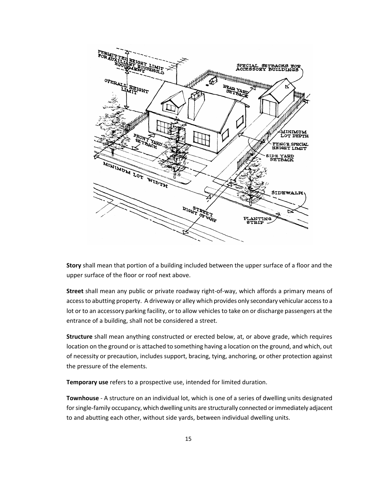

**Story** shall mean that portion of a building included between the upper surface of a floor and the upper surface of the floor or roof next above.

**Street** shall mean any public or private roadway right-of-way, which affords a primary means of access to abutting property. A driveway or alley which provides only secondary vehicular access to a lot or to an accessory parking facility, or to allow vehicles to take on or discharge passengers at the entrance of a building, shall not be considered a street.

**Structure** shall mean anything constructed or erected below, at, or above grade, which requires location on the ground or is attached to something having a location on the ground, and which, out of necessity or precaution, includes support, bracing, tying, anchoring, or other protection against the pressure of the elements.

**Temporary use** refers to a prospective use, intended for limited duration.

**Townhouse** - A structure on an individual lot, which is one of a series of dwelling units designated for single-family occupancy, which dwelling units are structurally connected or immediately adjacent to and abutting each other, without side yards, between individual dwelling units.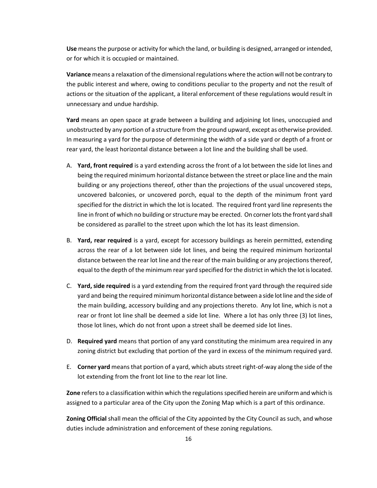**Use** means the purpose or activity for which the land, or building is designed, arranged or intended, or for which it is occupied or maintained.

**Variance** means a relaxation of the dimensional regulations where the action will not be contrary to the public interest and where, owing to conditions peculiar to the property and not the result of actions or the situation of the applicant, a literal enforcement of these regulations would result in unnecessary and undue hardship.

**Yard** means an open space at grade between a building and adjoining lot lines, unoccupied and unobstructed by any portion of a structure from the ground upward, except as otherwise provided. In measuring a yard for the purpose of determining the width of a side yard or depth of a front or rear yard, the least horizontal distance between a lot line and the building shall be used.

- A. **Yard, front required** is a yard extending across the front of a lot between the side lot lines and being the required minimum horizontal distance between the street or place line and the main building or any projections thereof, other than the projections of the usual uncovered steps, uncovered balconies, or uncovered porch, equal to the depth of the minimum front yard specified for the district in which the lot is located. The required front yard line represents the line in front of which no building or structure may be erected. On corner lots the front yard shall be considered as parallel to the street upon which the lot has its least dimension.
- B. **Yard, rear required** is a yard, except for accessory buildings as herein permitted, extending across the rear of a lot between side lot lines, and being the required minimum horizontal distance between the rear lot line and the rear of the main building or any projections thereof, equal to the depth of the minimum rear yard specified for the district in which the lot is located.
- C. **Yard, side required** is a yard extending from the required front yard through the required side yard and being the required minimum horizontal distance between a side lot line and the side of the main building, accessory building and any projections thereto. Any lot line, which is not a rear or front lot line shall be deemed a side lot line. Where a lot has only three (3) lot lines, those lot lines, which do not front upon a street shall be deemed side lot lines.
- D. **Required yard** means that portion of any yard constituting the minimum area required in any zoning district but excluding that portion of the yard in excess of the minimum required yard.
- E. **Corner yard** means that portion of a yard, which abuts street right-of-way along the side of the lot extending from the front lot line to the rear lot line.

**Zone** refers to a classification within which the regulations specified herein are uniform and which is assigned to a particular area of the City upon the Zoning Map which is a part of this ordinance.

**Zoning Official** shall mean the official of the City appointed by the City Council as such, and whose duties include administration and enforcement of these zoning regulations.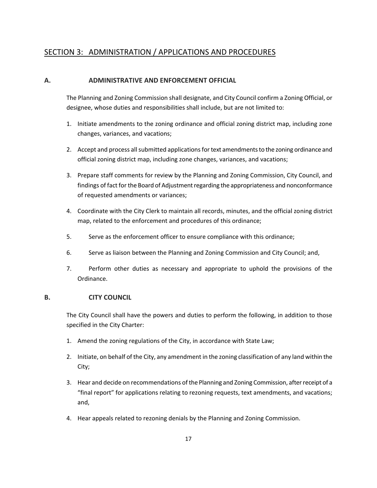# <span id="page-17-0"></span>SECTION 3: ADMINISTRATION / APPLICATIONS AND PROCEDURES

# <span id="page-17-1"></span>**A. ADMINISTRATIVE AND ENFORCEMENT OFFICIAL**

The Planning and Zoning Commission shall designate, and City Council confirm a Zoning Official, or designee, whose duties and responsibilities shall include, but are not limited to:

- 1. Initiate amendments to the zoning ordinance and official zoning district map, including zone changes, variances, and vacations;
- 2. Accept and process all submitted applications for text amendments to the zoning ordinance and official zoning district map, including zone changes, variances, and vacations;
- 3. Prepare staff comments for review by the Planning and Zoning Commission, City Council, and findings of fact for the Board of Adjustment regarding the appropriateness and nonconformance of requested amendments or variances;
- 4. Coordinate with the City Clerk to maintain all records, minutes, and the official zoning district map, related to the enforcement and procedures of this ordinance;
- 5. Serve as the enforcement officer to ensure compliance with this ordinance;
- 6. Serve as liaison between the Planning and Zoning Commission and City Council; and,
- 7. Perform other duties as necessary and appropriate to uphold the provisions of the Ordinance.

#### <span id="page-17-2"></span>**B. CITY COUNCIL**

The City Council shall have the powers and duties to perform the following, in addition to those specified in the City Charter:

- 1. Amend the zoning regulations of the City, in accordance with State Law;
- 2. Initiate, on behalf of the City, any amendment in the zoning classification of any land within the City;
- 3. Hear and decide on recommendations of the Planning and Zoning Commission, after receipt of a "final report" for applications relating to rezoning requests, text amendments, and vacations; and,
- 4. Hear appeals related to rezoning denials by the Planning and Zoning Commission.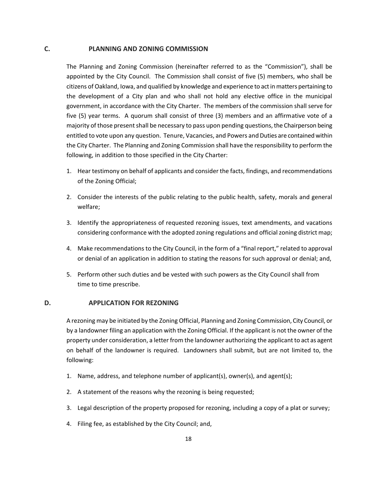#### <span id="page-18-0"></span>**C. PLANNING AND ZONING COMMISSION**

The Planning and Zoning Commission (hereinafter referred to as the "Commission"), shall be appointed by the City Council. The Commission shall consist of five (5) members, who shall be citizens of Oakland, Iowa, and qualified by knowledge and experience to act in matters pertaining to the development of a City plan and who shall not hold any elective office in the municipal government, in accordance with the City Charter. The members of the commission shall serve for five (5) year terms. A quorum shall consist of three (3) members and an affirmative vote of a majority of those present shall be necessary to pass upon pending questions, the Chairperson being entitled to vote upon any question. Tenure, Vacancies, and Powers and Duties are contained within the City Charter. The Planning and Zoning Commission shall have the responsibility to perform the following, in addition to those specified in the City Charter:

- 1. Hear testimony on behalf of applicants and consider the facts, findings, and recommendations of the Zoning Official;
- 2. Consider the interests of the public relating to the public health, safety, morals and general welfare;
- 3. Identify the appropriateness of requested rezoning issues, text amendments, and vacations considering conformance with the adopted zoning regulations and official zoning district map;
- 4. Make recommendations to the City Council, in the form of a "final report," related to approval or denial of an application in addition to stating the reasons for such approval or denial; and,
- 5. Perform other such duties and be vested with such powers as the City Council shall from time to time prescribe.

#### <span id="page-18-1"></span>**D. APPLICATION FOR REZONING**

A rezoning may be initiated by the Zoning Official, Planning and Zoning Commission, City Council, or by a landowner filing an application with the Zoning Official. If the applicant is not the owner of the property under consideration, a letter from the landowner authorizing the applicant to act as agent on behalf of the landowner is required. Landowners shall submit, but are not limited to, the following:

- 1. Name, address, and telephone number of applicant(s), owner(s), and agent(s);
- 2. A statement of the reasons why the rezoning is being requested;
- 3. Legal description of the property proposed for rezoning, including a copy of a plat or survey;
- 4. Filing fee, as established by the City Council; and,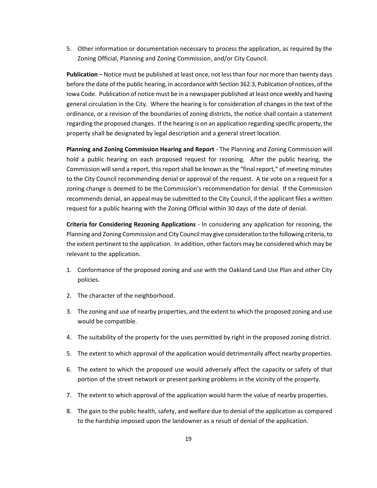5. Other information or documentation necessary to process the application, as required by the Zoning Official, Planning and Zoning Commission, and/or City Council.

**Publication** – Notice must be published at least once, not less than four nor more than twenty days before the date of the public hearing, in accordance with Section 362.3, Publication of notices, of the Iowa Code. Publication of notice must be in a newspaper published at least once weekly and having general circulation in the City. Where the hearing is for consideration of changes in the text of the ordinance, or a revision of the boundaries of zoning districts, the notice shall contain a statement regarding the proposed changes. If the hearing is on an application regarding specific property, the property shall be designated by legal description and a general street location.

**Planning and Zoning Commission Hearing and Report** - The Planning and Zoning Commission will hold a public hearing on each proposed request for rezoning. After the public hearing, the Commission will send a report, this report shall be known as the "final report," of meeting minutes to the City Council recommending denial or approval of the request. A tie vote on a request for a zoning change is deemed to be the Commission's recommendation for denial. If the Commission recommends denial, an appeal may be submitted to the City Council, if the applicant files a written request for a public hearing with the Zoning Official within 30 days of the date of denial.

**Criteria for Considering Rezoning Applications** - In considering any application for rezoning, the Planning and Zoning Commission and City Council may give consideration to the following criteria, to the extent pertinent to the application. In addition, other factors may be considered which may be relevant to the application.

- 1. Conformance of the proposed zoning and use with the Oakland Land Use Plan and other City policies.
- 2. The character of the neighborhood.
- 3. The zoning and use of nearby properties, and the extent to which the proposed zoning and use would be compatible.
- 4. The suitability of the property for the uses permitted by right in the proposed zoning district.
- 5. The extent to which approval of the application would detrimentally affect nearby properties.
- 6. The extent to which the proposed use would adversely affect the capacity or safety of that portion of the street network or present parking problems in the vicinity of the property.
- 7. The extent to which approval of the application would harm the value of nearby properties.
- 8. The gain to the public health, safety, and welfare due to denial of the application as compared to the hardship imposed upon the landowner as a result of denial of the application.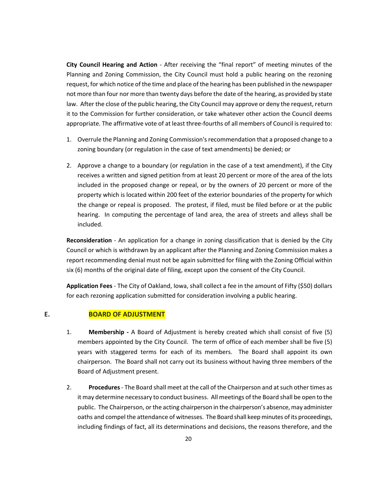**City Council Hearing and Action** - After receiving the "final report" of meeting minutes of the Planning and Zoning Commission, the City Council must hold a public hearing on the rezoning request, for which notice of the time and place of the hearing has been published in the newspaper not more than four nor more than twenty days before the date of the hearing, as provided by state law. After the close of the public hearing, the City Council may approve or deny the request, return it to the Commission for further consideration, or take whatever other action the Council deems appropriate. The affirmative vote of at least three-fourths of all members of Council is required to:

- 1. Overrule the Planning and Zoning Commission's recommendation that a proposed change to a zoning boundary (or regulation in the case of text amendments) be denied; or
- 2. Approve a change to a boundary (or regulation in the case of a text amendment), if the City receives a written and signed petition from at least 20 percent or more of the area of the lots included in the proposed change or repeal, or by the owners of 20 percent or more of the property which is located within 200 feet of the exterior boundaries of the property for which the change or repeal is proposed. The protest, if filed, must be filed before or at the public hearing. In computing the percentage of land area, the area of streets and alleys shall be included.

**Reconsideration** - An application for a change in zoning classification that is denied by the City Council or which is withdrawn by an applicant after the Planning and Zoning Commission makes a report recommending denial must not be again submitted for filing with the Zoning Official within six (6) months of the original date of filing, except upon the consent of the City Council.

**Application Fees** - The City of Oakland, Iowa, shall collect a fee in the amount of Fifty (\$50) dollars for each rezoning application submitted for consideration involving a public hearing.

#### <span id="page-20-0"></span>**E. BOARD OF ADJUSTMENT**

- 1. **Membership -** A Board of Adjustment is hereby created which shall consist of five (5) members appointed by the City Council. The term of office of each member shall be five (5) years with staggered terms for each of its members. The Board shall appoint its own chairperson. The Board shall not carry out its business without having three members of the Board of Adjustment present.
- 2. **Procedures** The Board shall meet at the call of the Chairperson and at such other times as it may determine necessary to conduct business. All meetings of the Board shall be open to the public. The Chairperson, or the acting chairperson in the chairperson's absence, may administer oaths and compel the attendance of witnesses. The Board shall keep minutes of its proceedings, including findings of fact, all its determinations and decisions, the reasons therefore, and the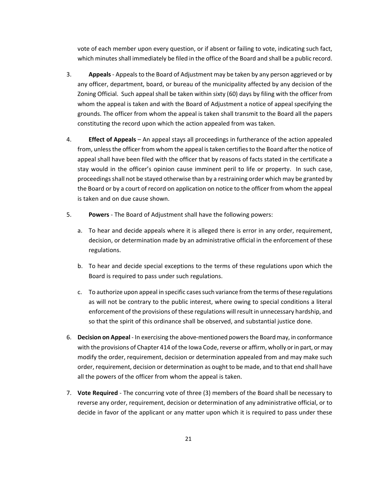vote of each member upon every question, or if absent or failing to vote, indicating such fact, which minutes shall immediately be filed in the office of the Board and shall be a public record.

- 3. **Appeals** Appeals to the Board of Adjustment may be taken by any person aggrieved or by any officer, department, board, or bureau of the municipality affected by any decision of the Zoning Official. Such appeal shall be taken within sixty (60) days by filing with the officer from whom the appeal is taken and with the Board of Adjustment a notice of appeal specifying the grounds. The officer from whom the appeal is taken shall transmit to the Board all the papers constituting the record upon which the action appealed from was taken.
- 4. **Effect of Appeals** An appeal stays all proceedings in furtherance of the action appealed from, unless the officer from whom the appeal is taken certifies to the Board after the notice of appeal shall have been filed with the officer that by reasons of facts stated in the certificate a stay would in the officer's opinion cause imminent peril to life or property. In such case, proceedings shall not be stayed otherwise than by a restraining order which may be granted by the Board or by a court of record on application on notice to the officer from whom the appeal is taken and on due cause shown.
- 5. **Powers** The Board of Adjustment shall have the following powers:
	- a. To hear and decide appeals where it is alleged there is error in any order, requirement, decision, or determination made by an administrative official in the enforcement of these regulations.
	- b. To hear and decide special exceptions to the terms of these regulations upon which the Board is required to pass under such regulations.
	- c. To authorize upon appeal in specific cases such variance from the terms of these regulations as will not be contrary to the public interest, where owing to special conditions a literal enforcement of the provisions of these regulations will result in unnecessary hardship, and so that the spirit of this ordinance shall be observed, and substantial justice done.
- 6. **Decision on Appeal** In exercising the above-mentioned powers the Board may, in conformance with the provisions of Chapter 414 of the Iowa Code, reverse or affirm, wholly or in part, or may modify the order, requirement, decision or determination appealed from and may make such order, requirement, decision or determination as ought to be made, and to that end shall have all the powers of the officer from whom the appeal is taken.
- 7. **Vote Required** The concurring vote of three (3) members of the Board shall be necessary to reverse any order, requirement, decision or determination of any administrative official, or to decide in favor of the applicant or any matter upon which it is required to pass under these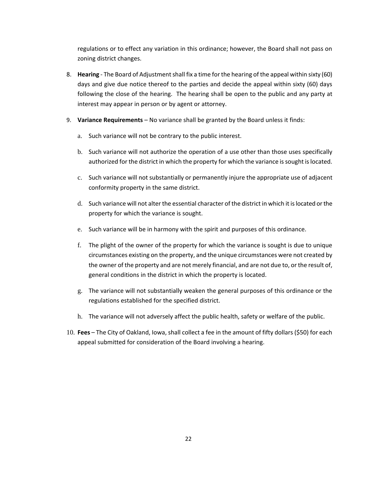regulations or to effect any variation in this ordinance; however, the Board shall not pass on zoning district changes.

- 8. **Hearing** The Board of Adjustment shall fix a time for the hearing of the appeal within sixty (60) days and give due notice thereof to the parties and decide the appeal within sixty (60) days following the close of the hearing. The hearing shall be open to the public and any party at interest may appear in person or by agent or attorney.
- 9. **Variance Requirements**  No variance shall be granted by the Board unless it finds:
	- a. Such variance will not be contrary to the public interest.
	- b. Such variance will not authorize the operation of a use other than those uses specifically authorized for the district in which the property for which the variance is sought is located.
	- c. Such variance will not substantially or permanently injure the appropriate use of adjacent conformity property in the same district.
	- d. Such variance will not alter the essential character of the district in which it is located or the property for which the variance is sought.
	- e. Such variance will be in harmony with the spirit and purposes of this ordinance.
	- f. The plight of the owner of the property for which the variance is sought is due to unique circumstances existing on the property, and the unique circumstances were not created by the owner of the property and are not merely financial, and are not due to, or the result of, general conditions in the district in which the property is located.
	- g. The variance will not substantially weaken the general purposes of this ordinance or the regulations established for the specified district.
	- h. The variance will not adversely affect the public health, safety or welfare of the public.
- 10. **Fees** The City of Oakland, Iowa, shall collect a fee in the amount of fifty dollars (\$50) for each appeal submitted for consideration of the Board involving a hearing.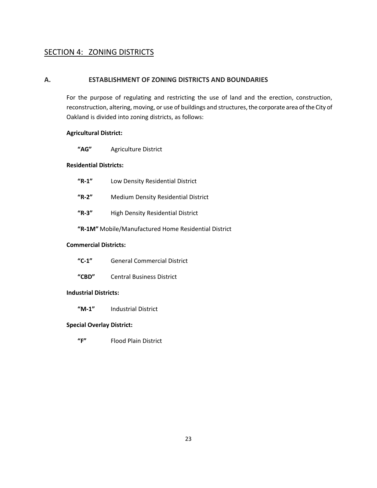# <span id="page-23-0"></span>SECTION 4: ZONING DISTRICTS

# <span id="page-23-1"></span>**A. ESTABLISHMENT OF ZONING DISTRICTS AND BOUNDARIES**

For the purpose of regulating and restricting the use of land and the erection, construction, reconstruction, altering, moving, or use of buildings and structures, the corporate area of the City of Oakland is divided into zoning districts, as follows:

#### **Agricultural District:**

**"AG"** Agriculture District

#### **Residential Districts:**

| $"R-1"$ | Low Density Residential District |
|---------|----------------------------------|
|---------|----------------------------------|

- **"R-2"** Medium Density Residential District
- **"R-3"** High Density Residential District

**"R-1M"** Mobile/Manufactured Home Residential District

#### **Commercial Districts:**

**"CBD"** Central Business District

#### **Industrial Districts:**

**"M-1"** Industrial District

#### **Special Overlay District:**

**"F"** Flood Plain District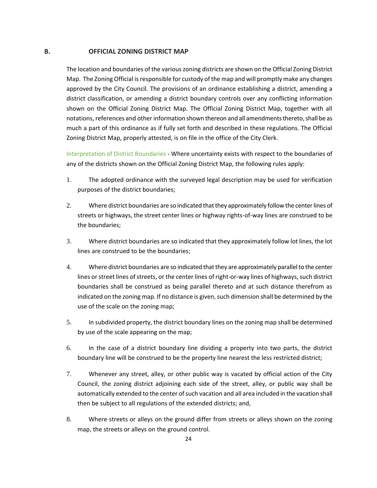#### <span id="page-24-0"></span>**B. OFFICIAL ZONING DISTRICT MAP**

The location and boundaries of the various zoning districts are shown on the Official Zoning District Map. The Zoning Official is responsible for custody of the map and will promptly make any changes approved by the City Council. The provisions of an ordinance establishing a district, amending a district classification, or amending a district boundary controls over any conflicting information shown on the Official Zoning District Map. The Official Zoning District Map, together with all notations, references and other information shown thereon and all amendments thereto, shall be as much a part of this ordinance as if fully set forth and described in these regulations. The Official Zoning District Map, properly attested, is on file in the office of the City Clerk.

Interpretation of District Boundaries - Where uncertainty exists with respect to the boundaries of any of the districts shown on the Official Zoning District Map, the following rules apply:

- 1. The adopted ordinance with the surveyed legal description may be used for verification purposes of the district boundaries;
- 2. Where district boundaries are so indicated that they approximately follow the center lines of streets or highways, the street center lines or highway rights-of-way lines are construed to be the boundaries;
- 3. Where district boundaries are so indicated that they approximately follow lot lines, the lot lines are construed to be the boundaries;
- 4. Where district boundaries are so indicated that they are approximately parallel to the center lines or street lines of streets, or the center lines of right-or-way lines of highways, such district boundaries shall be construed as being parallel thereto and at such distance therefrom as indicated on the zoning map. If no distance is given, such dimension shall be determined by the use of the scale on the zoning map;
- 5. In subdivided property, the district boundary lines on the zoning map shall be determined by use of the scale appearing on the map;
- 6. In the case of a district boundary line dividing a property into two parts, the district boundary line will be construed to be the property line nearest the less restricted district;
- 7. Whenever any street, alley, or other public way is vacated by official action of the City Council, the zoning district adjoining each side of the street, alley, or public way shall be automatically extended to the center of such vacation and all area included in the vacation shall then be subject to all regulations of the extended districts; and,
- 8. Where streets or alleys on the ground differ from streets or alleys shown on the zoning map, the streets or alleys on the ground control.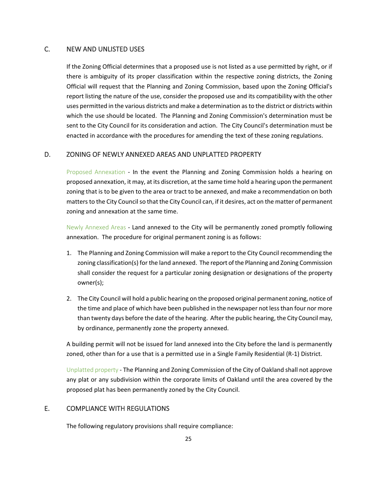### <span id="page-25-0"></span>C. NEW AND UNLISTED USES

If the Zoning Official determines that a proposed use is not listed as a use permitted by right, or if there is ambiguity of its proper classification within the respective zoning districts, the Zoning Official will request that the Planning and Zoning Commission, based upon the Zoning Official's report listing the nature of the use, consider the proposed use and its compatibility with the other uses permitted in the various districts and make a determination as to the district or districts within which the use should be located. The Planning and Zoning Commission's determination must be sent to the City Council for its consideration and action. The City Council's determination must be enacted in accordance with the procedures for amending the text of these zoning regulations.

#### <span id="page-25-1"></span>D. ZONING OF NEWLY ANNEXED AREAS AND UNPLATTED PROPERTY

Proposed Annexation - In the event the Planning and Zoning Commission holds a hearing on proposed annexation, it may, at its discretion, at the same time hold a hearing upon the permanent zoning that is to be given to the area or tract to be annexed, and make a recommendation on both matters to the City Council so that the City Council can, if it desires, act on the matter of permanent zoning and annexation at the same time.

Newly Annexed Areas - Land annexed to the City will be permanently zoned promptly following annexation. The procedure for original permanent zoning is as follows:

- 1. The Planning and Zoning Commission will make a report to the City Council recommending the zoning classification(s) for the land annexed. The report of the Planning and Zoning Commission shall consider the request for a particular zoning designation or designations of the property owner(s);
- 2. The City Council will hold a public hearing on the proposed original permanent zoning, notice of the time and place of which have been published in the newspaper not less than four nor more than twenty days before the date of the hearing. After the public hearing, the City Council may, by ordinance, permanently zone the property annexed.

A building permit will not be issued for land annexed into the City before the land is permanently zoned, other than for a use that is a permitted use in a Single Family Residential (R-1) District.

Unplatted property - The Planning and Zoning Commission of the City of Oakland shall not approve any plat or any subdivision within the corporate limits of Oakland until the area covered by the proposed plat has been permanently zoned by the City Council.

#### <span id="page-25-2"></span>E. COMPLIANCE WITH REGULATIONS

The following regulatory provisions shall require compliance: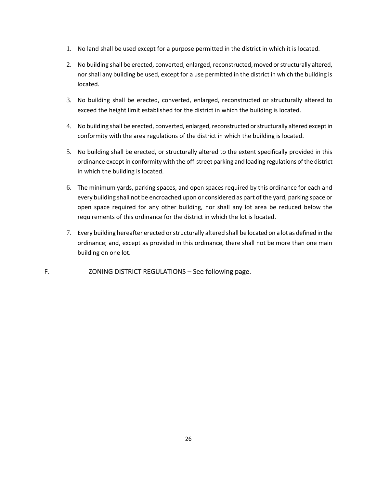- 1. No land shall be used except for a purpose permitted in the district in which it is located.
- 2. No building shall be erected, converted, enlarged, reconstructed, moved or structurally altered, nor shall any building be used, except for a use permitted in the district in which the building is located.
- 3. No building shall be erected, converted, enlarged, reconstructed or structurally altered to exceed the height limit established for the district in which the building is located.
- 4. No building shall be erected, converted, enlarged, reconstructed or structurally altered except in conformity with the area regulations of the district in which the building is located.
- 5. No building shall be erected, or structurally altered to the extent specifically provided in this ordinance except in conformity with the off-street parking and loading regulations of the district in which the building is located.
- 6. The minimum yards, parking spaces, and open spaces required by this ordinance for each and every building shall not be encroached upon or considered as part of the yard, parking space or open space required for any other building, nor shall any lot area be reduced below the requirements of this ordinance for the district in which the lot is located.
- 7. Every building hereafter erected or structurally altered shall be located on a lot as defined in the ordinance; and, except as provided in this ordinance, there shall not be more than one main building on one lot.

# <span id="page-26-0"></span>F. ZONING DISTRICT REGULATIONS – See following page.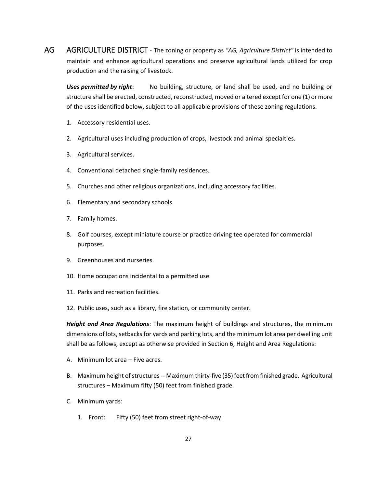AG AGRICULTURE DISTRICT **-** The zoning or property as *"AG, Agriculture District"* is intended to maintain and enhance agricultural operations and preserve agricultural lands utilized for crop production and the raising of livestock.

*Uses permitted by right*: No building, structure, or land shall be used, and no building or structure shall be erected, constructed, reconstructed, moved or altered except for one (1) or more of the uses identified below, subject to all applicable provisions of these zoning regulations.

- 1. Accessory residential uses.
- 2. Agricultural uses including production of crops, livestock and animal specialties.
- 3. Agricultural services.
- 4. Conventional detached single-family residences.
- 5. Churches and other religious organizations, including accessory facilities.
- 6. Elementary and secondary schools.
- 7. Family homes.
- 8. Golf courses, except miniature course or practice driving tee operated for commercial purposes.
- 9. Greenhouses and nurseries.
- 10. Home occupations incidental to a permitted use.
- 11. Parks and recreation facilities.
- 12. Public uses, such as a library, fire station, or community center.

*Height and Area Regulations*: The maximum height of buildings and structures, the minimum dimensions of lots, setbacks for yards and parking lots, and the minimum lot area per dwelling unit shall be as follows, except as otherwise provided in Section 6, Height and Area Regulations:

- A. Minimum lot area Five acres.
- B. Maximum height of structures -- Maximum thirty-five (35) feet from finished grade. Agricultural structures – Maximum fifty (50) feet from finished grade.
- C. Minimum yards:
	- 1. Front: Fifty (50) feet from street right-of-way.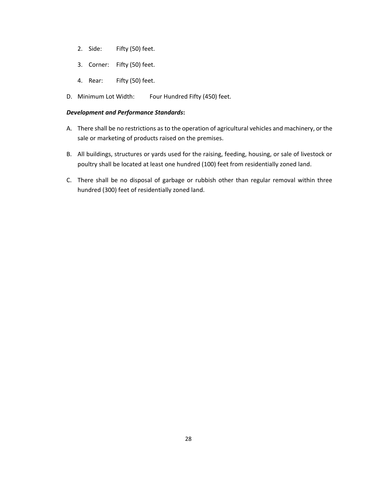- 2. Side: Fifty (50) feet.
- 3. Corner: Fifty (50) feet.
- 4. Rear: Fifty (50) feet.
- D. Minimum Lot Width: Four Hundred Fifty (450) feet.

#### *Development and Performance Standards***:**

- A. There shall be no restrictions as to the operation of agricultural vehicles and machinery, or the sale or marketing of products raised on the premises.
- B. All buildings, structures or yards used for the raising, feeding, housing, or sale of livestock or poultry shall be located at least one hundred (100) feet from residentially zoned land.
- C. There shall be no disposal of garbage or rubbish other than regular removal within three hundred (300) feet of residentially zoned land.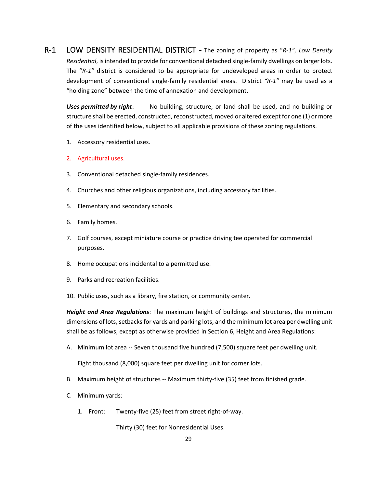R-1 LOW DENSITY RESIDENTIAL DISTRICT - The zoning of property as "*R-1", Low Density Residential*, is intended to provide for conventional detached single-family dwellings on larger lots. The "*R-1"* district is considered to be appropriate for undeveloped areas in order to protect development of conventional single-family residential areas. District *"R-1"* may be used as a "holding zone" between the time of annexation and development.

*Uses permitted by right*: No building, structure, or land shall be used, and no building or structure shall be erected, constructed, reconstructed, moved or altered except for one (1) or more of the uses identified below, subject to all applicable provisions of these zoning regulations.

1. Accessory residential uses.

#### 2. Agricultural uses.

- 3. Conventional detached single-family residences.
- 4. Churches and other religious organizations, including accessory facilities.
- 5. Elementary and secondary schools.
- 6. Family homes.
- 7. Golf courses, except miniature course or practice driving tee operated for commercial purposes.
- 8. Home occupations incidental to a permitted use.
- 9. Parks and recreation facilities.
- 10. Public uses, such as a library, fire station, or community center.

*Height and Area Regulations*: The maximum height of buildings and structures, the minimum dimensions of lots, setbacks for yards and parking lots, and the minimum lot area per dwelling unit shall be as follows, except as otherwise provided in Section 6, Height and Area Regulations:

A. Minimum lot area -- Seven thousand five hundred (7,500) square feet per dwelling unit.

Eight thousand (8,000) square feet per dwelling unit for corner lots.

- B. Maximum height of structures -- Maximum thirty-five (35) feet from finished grade.
- C. Minimum yards:
	- 1. Front: Twenty-five (25) feet from street right-of-way.

Thirty (30) feet for Nonresidential Uses.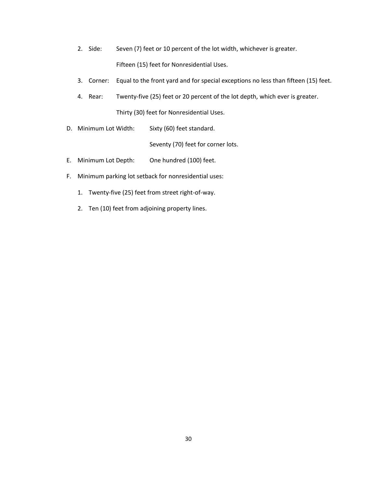- 2. Side: Seven (7) feet or 10 percent of the lot width, whichever is greater. Fifteen (15) feet for Nonresidential Uses.
- 3. Corner: Equal to the front yard and for special exceptions no less than fifteen (15) feet.
- 4. Rear: Twenty-five (25) feet or 20 percent of the lot depth, which ever is greater. Thirty (30) feet for Nonresidential Uses.
- D. Minimum Lot Width: Sixty (60) feet standard.

Seventy (70) feet for corner lots.

- E. Minimum Lot Depth: One hundred (100) feet.
- F. Minimum parking lot setback for nonresidential uses:
	- 1. Twenty-five (25) feet from street right-of-way.
	- 2. Ten (10) feet from adjoining property lines.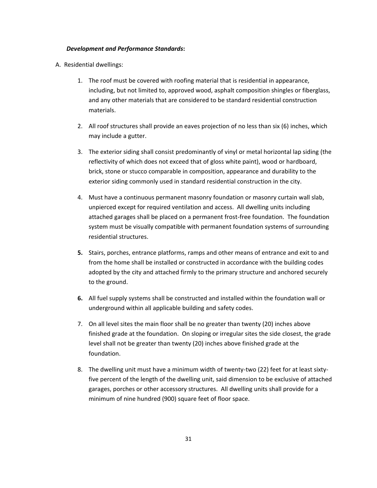#### *Development and Performance Standards***:**

A. Residential dwellings:

- 1. The roof must be covered with roofing material that is residential in appearance, including, but not limited to, approved wood, asphalt composition shingles or fiberglass, and any other materials that are considered to be standard residential construction materials.
- 2. All roof structures shall provide an eaves projection of no less than six (6) inches, which may include a gutter.
- 3. The exterior siding shall consist predominantly of vinyl or metal horizontal lap siding (the reflectivity of which does not exceed that of gloss white paint), wood or hardboard, brick, stone or stucco comparable in composition, appearance and durability to the exterior siding commonly used in standard residential construction in the city.
- 4. Must have a continuous permanent masonry foundation or masonry curtain wall slab, unpierced except for required ventilation and access. All dwelling units including attached garages shall be placed on a permanent frost-free foundation. The foundation system must be visually compatible with permanent foundation systems of surrounding residential structures.
- **5.** Stairs, porches, entrance platforms, ramps and other means of entrance and exit to and from the home shall be installed or constructed in accordance with the building codes adopted by the city and attached firmly to the primary structure and anchored securely to the ground.
- **6.** All fuel supply systems shall be constructed and installed within the foundation wall or underground within all applicable building and safety codes.
- 7. On all level sites the main floor shall be no greater than twenty (20) inches above finished grade at the foundation. On sloping or irregular sites the side closest, the grade level shall not be greater than twenty (20) inches above finished grade at the foundation.
- 8. The dwelling unit must have a minimum width of twenty-two (22) feet for at least sixtyfive percent of the length of the dwelling unit, said dimension to be exclusive of attached garages, porches or other accessory structures. All dwelling units shall provide for a minimum of nine hundred (900) square feet of floor space.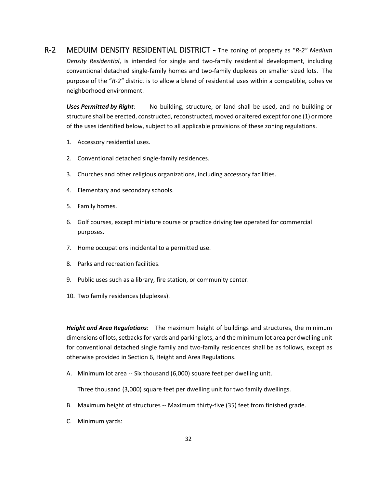R-2 MEDUIM DENSITY RESIDENTIAL DISTRICT - The zoning of property as "*R-2" Medium Density Residential*, is intended for single and two-family residential development, including conventional detached single-family homes and two-family duplexes on smaller sized lots. The purpose of the "*R-2"* district is to allow a blend of residential uses within a compatible, cohesive neighborhood environment.

*Uses Permitted by Right:* No building, structure, or land shall be used, and no building or structure shall be erected, constructed, reconstructed, moved or altered except for one (1) or more of the uses identified below, subject to all applicable provisions of these zoning regulations.

- 1. Accessory residential uses.
- 2. Conventional detached single-family residences.
- 3. Churches and other religious organizations, including accessory facilities.
- 4. Elementary and secondary schools.
- 5. Family homes.
- 6. Golf courses, except miniature course or practice driving tee operated for commercial purposes.
- 7. Home occupations incidental to a permitted use.
- 8. Parks and recreation facilities.
- 9. Public uses such as a library, fire station, or community center.
- 10. Two family residences (duplexes).

*Height and Area Regulations*: The maximum height of buildings and structures, the minimum dimensions of lots, setbacks for yards and parking lots, and the minimum lot area per dwelling unit for conventional detached single family and two-family residences shall be as follows, except as otherwise provided in Section 6, Height and Area Regulations.

A. Minimum lot area -- Six thousand (6,000) square feet per dwelling unit.

Three thousand (3,000) square feet per dwelling unit for two family dwellings.

- B. Maximum height of structures -- Maximum thirty-five (35) feet from finished grade.
- C. Minimum yards: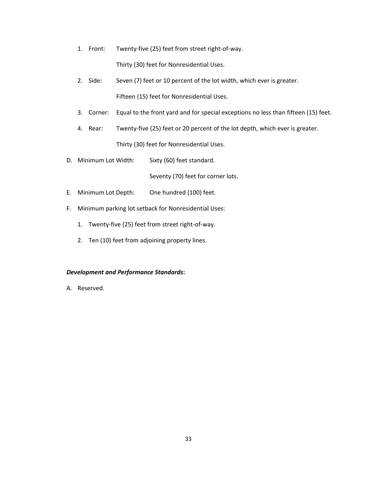- 1. Front: Twenty-five (25) feet from street right-of-way. Thirty (30) feet for Nonresidential Uses.
- 2. Side: Seven (7) feet or 10 percent of the lot width, which ever is greater. Fifteen (15) feet for Nonresidential Uses.
- 3. Corner: Equal to the front yard and for special exceptions no less than fifteen (15) feet.
- 4. Rear: Twenty-five (25) feet or 20 percent of the lot depth, which ever is greater. Thirty (30) feet for Nonresidential Uses.
- D. Minimum Lot Width: Sixty (60) feet standard.

Seventy (70) feet for corner lots.

- E. Minimum Lot Depth: One hundred (100) feet.
- F. Minimum parking lot setback for Nonresidential Uses:
	- 1. Twenty-five (25) feet from street right-of-way.
	- 2. Ten (10) feet from adjoining property lines.

#### *Development and Performance Standards***:**

A. Reserved.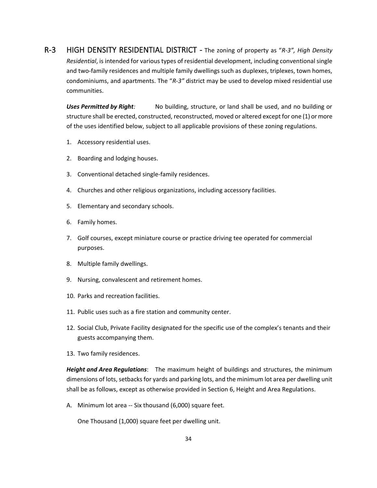R-3 HIGH DENSITY RESIDENTIAL DISTRICT - The zoning of property as "*R-3", High Density Residential*, is intended for various types of residential development, including conventional single and two-family residences and multiple family dwellings such as duplexes, triplexes, town homes, condominiums, and apartments. The "*R-3"* district may be used to develop mixed residential use communities.

*Uses Permitted by Right:* No building, structure, or land shall be used, and no building or structure shall be erected, constructed, reconstructed, moved or altered except for one (1) or more of the uses identified below, subject to all applicable provisions of these zoning regulations.

- 1. Accessory residential uses.
- 2. Boarding and lodging houses.
- 3. Conventional detached single-family residences.
- 4. Churches and other religious organizations, including accessory facilities.
- 5. Elementary and secondary schools.
- 6. Family homes.
- 7. Golf courses, except miniature course or practice driving tee operated for commercial purposes.
- 8. Multiple family dwellings.
- 9. Nursing, convalescent and retirement homes.
- 10. Parks and recreation facilities.
- 11. Public uses such as a fire station and community center.
- 12. Social Club, Private Facility designated for the specific use of the complex's tenants and their guests accompanying them.
- 13. Two family residences.

*Height and Area Regulations*: The maximum height of buildings and structures, the minimum dimensions of lots, setbacks for yards and parking lots, and the minimum lot area per dwelling unit shall be as follows, except as otherwise provided in Section 6, Height and Area Regulations.

A. Minimum lot area -- Six thousand (6,000) square feet.

One Thousand (1,000) square feet per dwelling unit.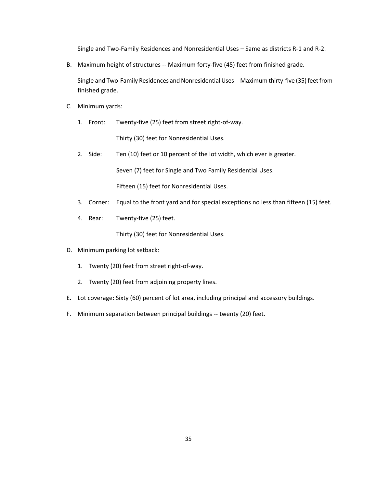Single and Two-Family Residences and Nonresidential Uses – Same as districts R-1 and R-2.

B. Maximum height of structures -- Maximum forty-five (45) feet from finished grade.

Single and Two-Family Residences and Nonresidential Uses -- Maximum thirty-five (35) feet from finished grade.

- C. Minimum yards:
	- 1. Front: Twenty-five (25) feet from street right-of-way.

Thirty (30) feet for Nonresidential Uses.

- 2. Side: Ten (10) feet or 10 percent of the lot width, which ever is greater. Seven (7) feet for Single and Two Family Residential Uses. Fifteen (15) feet for Nonresidential Uses.
- 3. Corner: Equal to the front yard and for special exceptions no less than fifteen (15) feet.
- 4. Rear: Twenty-five (25) feet.

Thirty (30) feet for Nonresidential Uses.

- D. Minimum parking lot setback:
	- 1. Twenty (20) feet from street right-of-way.
	- 2. Twenty (20) feet from adjoining property lines.
- E. Lot coverage: Sixty (60) percent of lot area, including principal and accessory buildings.
- F. Minimum separation between principal buildings -- twenty (20) feet.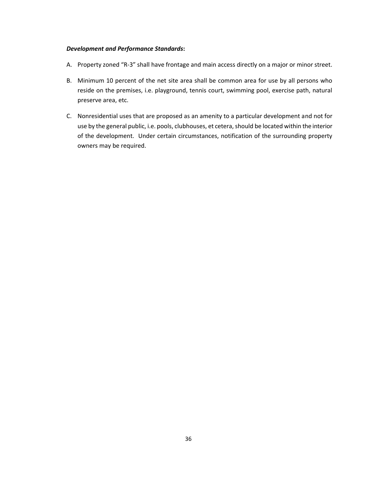#### *Development and Performance Standards***:**

- A. Property zoned "R-3" shall have frontage and main access directly on a major or minor street.
- B. Minimum 10 percent of the net site area shall be common area for use by all persons who reside on the premises, i.e. playground, tennis court, swimming pool, exercise path, natural preserve area, etc.
- C. Nonresidential uses that are proposed as an amenity to a particular development and not for use by the general public, i.e. pools, clubhouses, et cetera, should be located within the interior of the development. Under certain circumstances, notification of the surrounding property owners may be required.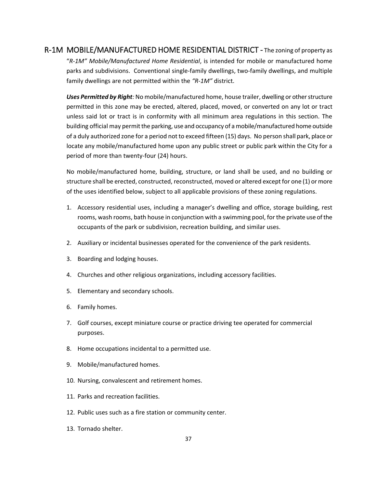# R-1M MOBILE/MANUFACTURED HOME RESIDENTIAL DISTRICT - The zoning of property as "*R-1M" Mobile/Manufactured Home Residential*, is intended for mobile or manufactured home parks and subdivisions. Conventional single-family dwellings, two-family dwellings, and multiple family dwellings are not permitted within the *"R-1M"* district.

*Uses Permitted by Right:* No mobile/manufactured home, house trailer, dwelling or other structure permitted in this zone may be erected, altered, placed, moved, or converted on any lot or tract unless said lot or tract is in conformity with all minimum area regulations in this section. The building official may permit the parking, use and occupancy of a mobile/manufactured home outside of a duly authorized zone for a period not to exceed fifteen (15) days. No person shall park, place or locate any mobile/manufactured home upon any public street or public park within the City for a period of more than twenty-four (24) hours.

No mobile/manufactured home, building, structure, or land shall be used, and no building or structure shall be erected, constructed, reconstructed, moved or altered except for one (1) or more of the uses identified below, subject to all applicable provisions of these zoning regulations.

- 1. Accessory residential uses, including a manager's dwelling and office, storage building, rest rooms, wash rooms, bath house in conjunction with a swimming pool, for the private use of the occupants of the park or subdivision, recreation building, and similar uses.
- 2. Auxiliary or incidental businesses operated for the convenience of the park residents.
- 3. Boarding and lodging houses.
- 4. Churches and other religious organizations, including accessory facilities.
- 5. Elementary and secondary schools.
- 6. Family homes.
- 7. Golf courses, except miniature course or practice driving tee operated for commercial purposes.
- 8. Home occupations incidental to a permitted use.
- 9. Mobile/manufactured homes.
- 10. Nursing, convalescent and retirement homes.
- 11. Parks and recreation facilities.
- 12. Public uses such as a fire station or community center.
- 13. Tornado shelter.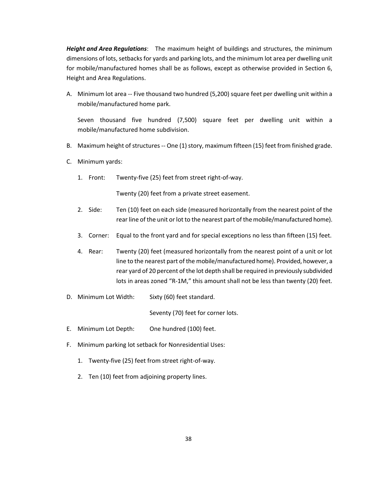*Height and Area Regulations*: The maximum height of buildings and structures, the minimum dimensions of lots, setbacks for yards and parking lots, and the minimum lot area per dwelling unit for mobile/manufactured homes shall be as follows, except as otherwise provided in Section 6, Height and Area Regulations.

A. Minimum lot area -- Five thousand two hundred (5,200) square feet per dwelling unit within a mobile/manufactured home park.

Seven thousand five hundred (7,500) square feet per dwelling unit within a mobile/manufactured home subdivision.

- B. Maximum height of structures -- One (1) story, maximum fifteen (15) feet from finished grade.
- C. Minimum yards:
	- 1. Front: Twenty-five (25) feet from street right-of-way.

Twenty (20) feet from a private street easement.

- 2. Side: Ten (10) feet on each side (measured horizontally from the nearest point of the rear line of the unit or lot to the nearest part of the mobile/manufactured home).
- 3. Corner: Equal to the front yard and for special exceptions no less than fifteen (15) feet.
- 4. Rear: Twenty (20) feet (measured horizontally from the nearest point of a unit or lot line to the nearest part of the mobile/manufactured home). Provided, however, a rear yard of 20 percent of the lot depth shall be required in previously subdivided lots in areas zoned "R-1M," this amount shall not be less than twenty (20) feet.
- D. Minimum Lot Width: Sixty (60) feet standard.

Seventy (70) feet for corner lots.

- E. Minimum Lot Depth: One hundred (100) feet.
- F. Minimum parking lot setback for Nonresidential Uses:
	- 1. Twenty-five (25) feet from street right-of-way.
	- 2. Ten (10) feet from adjoining property lines.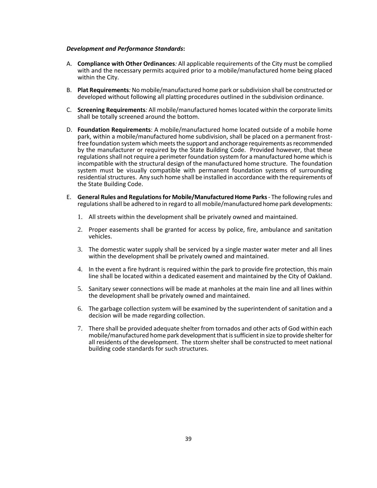#### *Development and Performance Standards***:**

- A. **Compliance with Other Ordinances***:* All applicable requirements of the City must be complied with and the necessary permits acquired prior to a mobile/manufactured home being placed within the City.
- B. **Plat Requirements***:* No mobile/manufactured home park or subdivision shall be constructed or developed without following all platting procedures outlined in the subdivision ordinance.
- C. **Screening Requirements***:* All mobile/manufactured homes located within the corporate limits shall be totally screened around the bottom.
- D. **Foundation Requirements**: A mobile/manufactured home located outside of a mobile home park, within a mobile/manufactured home subdivision, shall be placed on a permanent frostfree foundation system which meets the support and anchorage requirements as recommended by the manufacturer or required by the State Building Code. Provided however, that these regulations shall not require a perimeter foundation system for a manufactured home which is incompatible with the structural design of the manufactured home structure. The foundation system must be visually compatible with permanent foundation systems of surrounding residential structures. Any such home shall be installed in accordance with the requirements of the State Building Code.
- E. **General Rules and Regulations for Mobile/Manufactured Home Parks** The following rules and regulations shall be adhered to in regard to all mobile/manufactured home park developments:
	- 1. All streets within the development shall be privately owned and maintained.
	- 2. Proper easements shall be granted for access by police, fire, ambulance and sanitation vehicles.
	- 3. The domestic water supply shall be serviced by a single master water meter and all lines within the development shall be privately owned and maintained.
	- 4. In the event a fire hydrant is required within the park to provide fire protection, this main line shall be located within a dedicated easement and maintained by the City of Oakland.
	- 5. Sanitary sewer connections will be made at manholes at the main line and all lines within the development shall be privately owned and maintained.
	- 6. The garbage collection system will be examined by the superintendent of sanitation and a decision will be made regarding collection.
	- 7. There shall be provided adequate shelter from tornados and other acts of God within each mobile/manufactured home park development that is sufficient in size to provide shelter for all residents of the development. The storm shelter shall be constructed to meet national building code standards for such structures.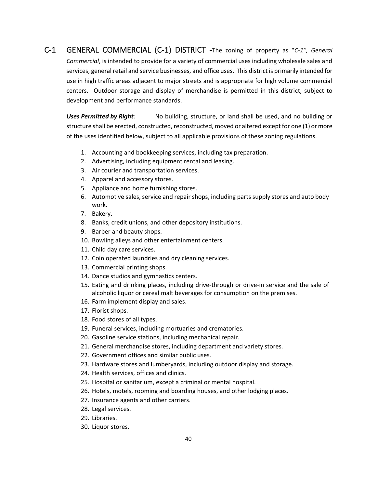C-1 GENERAL COMMERCIAL (C-1) DISTRICT -The zoning of property as "*C-1", General Commercial*, is intended to provide for a variety of commercial uses including wholesale sales and services, general retail and service businesses, and office uses. This district is primarily intended for use in high traffic areas adjacent to major streets and is appropriate for high volume commercial centers. Outdoor storage and display of merchandise is permitted in this district, subject to development and performance standards.

*Uses Permitted by Right:* No building, structure, or land shall be used, and no building or structure shall be erected, constructed, reconstructed, moved or altered except for one (1) or more of the uses identified below, subject to all applicable provisions of these zoning regulations.

- 1. Accounting and bookkeeping services, including tax preparation.
- 2. Advertising, including equipment rental and leasing.
- 3. Air courier and transportation services.
- 4. Apparel and accessory stores.
- 5. Appliance and home furnishing stores.
- 6. Automotive sales, service and repair shops, including parts supply stores and auto body work.
- 7. Bakery.
- 8. Banks, credit unions, and other depository institutions.
- 9. Barber and beauty shops.
- 10. Bowling alleys and other entertainment centers.
- 11. Child day care services.
- 12. Coin operated laundries and dry cleaning services.
- 13. Commercial printing shops.
- 14. Dance studios and gymnastics centers.
- 15. Eating and drinking places, including drive-through or drive-in service and the sale of alcoholic liquor or cereal malt beverages for consumption on the premises.
- 16. Farm implement display and sales.
- 17. Florist shops.
- 18. Food stores of all types.
- 19. Funeral services, including mortuaries and crematories.
- 20. Gasoline service stations, including mechanical repair.
- 21. General merchandise stores, including department and variety stores.
- 22. Government offices and similar public uses.
- 23. Hardware stores and lumberyards, including outdoor display and storage.
- 24. Health services, offices and clinics.
- 25. Hospital or sanitarium, except a criminal or mental hospital.
- 26. Hotels, motels, rooming and boarding houses, and other lodging places.
- 27. Insurance agents and other carriers.
- 28. Legal services.
- 29. Libraries.
- 30. Liquor stores.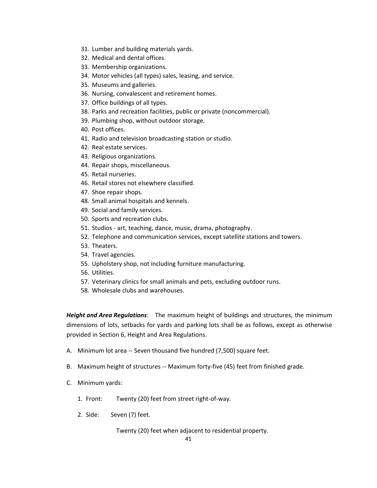- 31. Lumber and building materials yards.
- 32. Medical and dental offices.
- 33. Membership organizations.
- 34. Motor vehicles (all types) sales, leasing, and service.
- 35. Museums and galleries.
- 36. Nursing, convalescent and retirement homes.
- 37. Office buildings of all types.
- 38. Parks and recreation facilities, public or private (noncommercial).
- 39. Plumbing shop, without outdoor storage.
- 40. Post offices.
- 41. Radio and television broadcasting station or studio.
- 42. Real estate services.
- 43. Religious organizations.
- 44. Repair shops, miscellaneous.
- 45. Retail nurseries.
- 46. Retail stores not elsewhere classified.
- 47. Shoe repair shops.
- 48. Small animal hospitals and kennels.
- 49. Social and family services.
- 50. Sports and recreation clubs.
- 51. Studios art, teaching, dance, music, drama, photography.
- 52. Telephone and communication services, except satellite stations and towers.
- 53. Theaters.
- 54. Travel agencies.
- 55. Upholstery shop, not including furniture manufacturing.
- 56. Utilities.
- 57. Veterinary clinics for small animals and pets, excluding outdoor runs.
- 58. Wholesale clubs and warehouses.

*Height and Area Regulations*: The maximum height of buildings and structures, the minimum dimensions of lots, setbacks for yards and parking lots shall be as follows, except as otherwise provided in Section 6, Height and Area Regulations.

- A. Minimum lot area -- Seven thousand five hundred (7,500) square feet.
- B. Maximum height of structures -- Maximum forty-five (45) feet from finished grade.
- C. Minimum yards:
	- 1. Front: Twenty (20) feet from street right-of-way.
	- 2. Side: Seven (7) feet.

Twenty (20) feet when adjacent to residential property.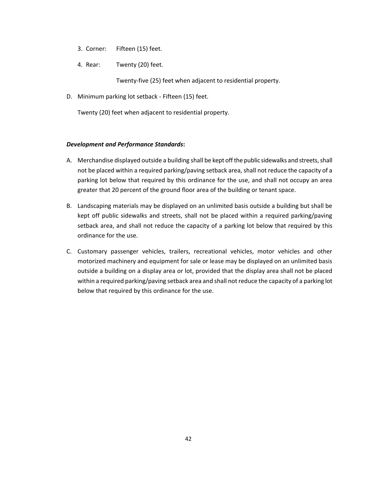- 3. Corner: Fifteen (15) feet.
- 4. Rear: Twenty (20) feet.

Twenty-five (25) feet when adjacent to residential property.

D. Minimum parking lot setback - Fifteen (15) feet.

Twenty (20) feet when adjacent to residential property.

#### *Development and Performance Standards***:**

- A. Merchandise displayed outside a building shall be kept off the public sidewalks and streets, shall not be placed within a required parking/paving setback area, shall not reduce the capacity of a parking lot below that required by this ordinance for the use, and shall not occupy an area greater that 20 percent of the ground floor area of the building or tenant space.
- B. Landscaping materials may be displayed on an unlimited basis outside a building but shall be kept off public sidewalks and streets, shall not be placed within a required parking/paving setback area, and shall not reduce the capacity of a parking lot below that required by this ordinance for the use.
- C. Customary passenger vehicles, trailers, recreational vehicles, motor vehicles and other motorized machinery and equipment for sale or lease may be displayed on an unlimited basis outside a building on a display area or lot, provided that the display area shall not be placed within a required parking/paving setback area and shall not reduce the capacity of a parking lot below that required by this ordinance for the use.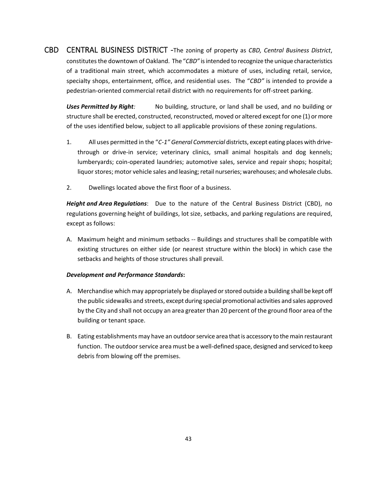CBD CENTRAL BUSINESS DISTRICT -The zoning of property as *CBD, Central Business District*, constitutes the downtown of Oakland. The "*CBD"* is intended to recognize the unique characteristics of a traditional main street, which accommodates a mixture of uses, including retail, service, specialty shops, entertainment, office, and residential uses. The "*CBD"* is intended to provide a pedestrian-oriented commercial retail district with no requirements for off-street parking.

*Uses Permitted by Right:* No building, structure, or land shall be used, and no building or structure shall be erected, constructed, reconstructed, moved or altered except for one (1) or more of the uses identified below, subject to all applicable provisions of these zoning regulations.

- 1. All uses permitted in the "*C-1" General Commercial* districts, except eating places with drivethrough or drive-in service; veterinary clinics, small animal hospitals and dog kennels; lumberyards; coin-operated laundries; automotive sales, service and repair shops; hospital; liquor stores; motor vehicle sales and leasing; retail nurseries; warehouses; and wholesale clubs.
- 2. Dwellings located above the first floor of a business.

*Height and Area Regulations*: Due to the nature of the Central Business District (CBD), no regulations governing height of buildings, lot size, setbacks, and parking regulations are required, except as follows:

A. Maximum height and minimum setbacks -- Buildings and structures shall be compatible with existing structures on either side (or nearest structure within the block) in which case the setbacks and heights of those structures shall prevail.

#### *Development and Performance Standards***:**

- A. Merchandise which may appropriately be displayed or stored outside a building shall be kept off the public sidewalks and streets, except during special promotional activities and sales approved by the City and shall not occupy an area greater than 20 percent of the ground floor area of the building or tenant space.
- B. Eating establishments may have an outdoor service area that is accessory to the main restaurant function. The outdoor service area must be a well-defined space, designed and serviced to keep debris from blowing off the premises.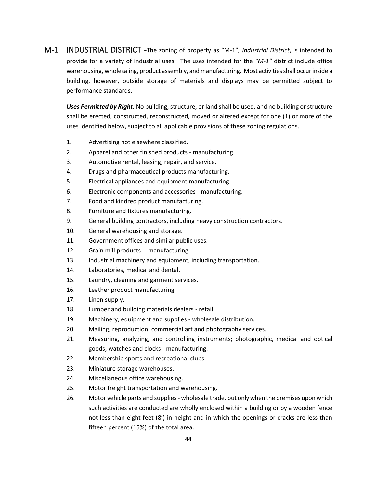M-1 INDUSTRIAL DISTRICT -The zoning of property as "M-1"*, Industrial District*, is intended to provide for a variety of industrial uses. The uses intended for the *"M-1"* district include office warehousing, wholesaling, product assembly, and manufacturing. Most activities shall occur inside a building, however, outside storage of materials and displays may be permitted subject to performance standards.

*Uses Permitted by Right:* No building, structure, or land shall be used, and no building or structure shall be erected, constructed, reconstructed, moved or altered except for one (1) or more of the uses identified below, subject to all applicable provisions of these zoning regulations.

- 1. Advertising not elsewhere classified.
- 2. Apparel and other finished products manufacturing.
- 3. Automotive rental, leasing, repair, and service.
- 4. Drugs and pharmaceutical products manufacturing.
- 5. Electrical appliances and equipment manufacturing.
- 6. Electronic components and accessories manufacturing.
- 7. Food and kindred product manufacturing.
- 8. Furniture and fixtures manufacturing.
- 9. General building contractors, including heavy construction contractors.
- 10. General warehousing and storage.
- 11. Government offices and similar public uses.
- 12. Grain mill products -- manufacturing.
- 13. Industrial machinery and equipment, including transportation.
- 14. Laboratories, medical and dental.
- 15. Laundry, cleaning and garment services.
- 16. Leather product manufacturing.
- 17. Linen supply.
- 18. Lumber and building materials dealers retail.
- 19. Machinery, equipment and supplies wholesale distribution.
- 20. Mailing, reproduction, commercial art and photography services.
- 21. Measuring, analyzing, and controlling instruments; photographic, medical and optical goods; watches and clocks - manufacturing.
- 22. Membership sports and recreational clubs.
- 23. Miniature storage warehouses.
- 24. Miscellaneous office warehousing.
- 25. Motor freight transportation and warehousing.
- 26. Motor vehicle parts and supplies wholesale trade, but only when the premises upon which such activities are conducted are wholly enclosed within a building or by a wooden fence not less than eight feet (8') in height and in which the openings or cracks are less than fifteen percent (15%) of the total area.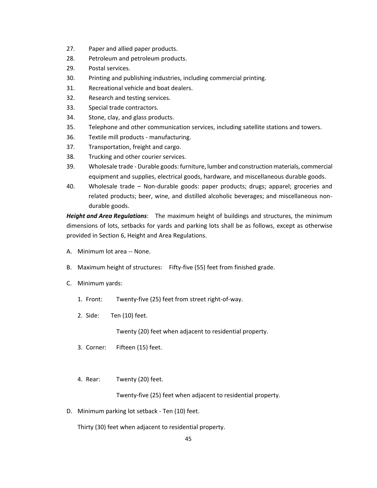- 27. Paper and allied paper products.
- 28. Petroleum and petroleum products.
- 29. Postal services.
- 30. Printing and publishing industries, including commercial printing.
- 31. Recreational vehicle and boat dealers.
- 32. Research and testing services.
- 33. Special trade contractors.
- 34. Stone, clay, and glass products.
- 35. Telephone and other communication services, including satellite stations and towers.
- 36. Textile mill products manufacturing.
- 37. Transportation, freight and cargo.
- 38. Trucking and other courier services.
- 39. Wholesale trade Durable goods: furniture, lumber and construction materials, commercial equipment and supplies, electrical goods, hardware, and miscellaneous durable goods.
- 40. Wholesale trade Non-durable goods: paper products; drugs; apparel; groceries and related products; beer, wine, and distilled alcoholic beverages; and miscellaneous nondurable goods.

*Height and Area Regulations*: The maximum height of buildings and structures, the minimum dimensions of lots, setbacks for yards and parking lots shall be as follows, except as otherwise provided in Section 6, Height and Area Regulations.

- A. Minimum lot area -- None.
- B. Maximum height of structures: Fifty-five (55) feet from finished grade.
- C. Minimum yards:
	- 1. Front: Twenty-five (25) feet from street right-of-way.
	- 2. Side: Ten (10) feet.

Twenty (20) feet when adjacent to residential property.

- 3. Corner: Fifteen (15) feet.
- 4. Rear: Twenty (20) feet.

Twenty-five (25) feet when adjacent to residential property.

D. Minimum parking lot setback - Ten (10) feet.

Thirty (30) feet when adjacent to residential property.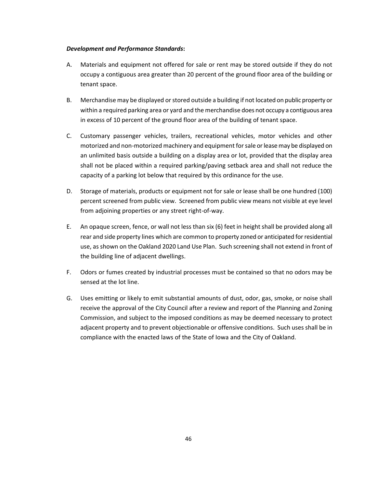#### *Development and Performance Standards***:**

- A. Materials and equipment not offered for sale or rent may be stored outside if they do not occupy a contiguous area greater than 20 percent of the ground floor area of the building or tenant space.
- B. Merchandise may be displayed or stored outside a building if not located on public property or within a required parking area or yard and the merchandise does not occupy a contiguous area in excess of 10 percent of the ground floor area of the building of tenant space.
- C. Customary passenger vehicles, trailers, recreational vehicles, motor vehicles and other motorized and non-motorized machinery and equipment for sale or lease may be displayed on an unlimited basis outside a building on a display area or lot, provided that the display area shall not be placed within a required parking/paving setback area and shall not reduce the capacity of a parking lot below that required by this ordinance for the use.
- D. Storage of materials, products or equipment not for sale or lease shall be one hundred (100) percent screened from public view. Screened from public view means not visible at eye level from adjoining properties or any street right-of-way.
- E. An opaque screen, fence, or wall not less than six (6) feet in height shall be provided along all rear and side property lines which are common to property zoned or anticipated for residential use, as shown on the Oakland 2020 Land Use Plan. Such screening shall not extend in front of the building line of adjacent dwellings.
- F. Odors or fumes created by industrial processes must be contained so that no odors may be sensed at the lot line.
- G. Uses emitting or likely to emit substantial amounts of dust, odor, gas, smoke, or noise shall receive the approval of the City Council after a review and report of the Planning and Zoning Commission, and subject to the imposed conditions as may be deemed necessary to protect adjacent property and to prevent objectionable or offensive conditions. Such uses shall be in compliance with the enacted laws of the State of Iowa and the City of Oakland.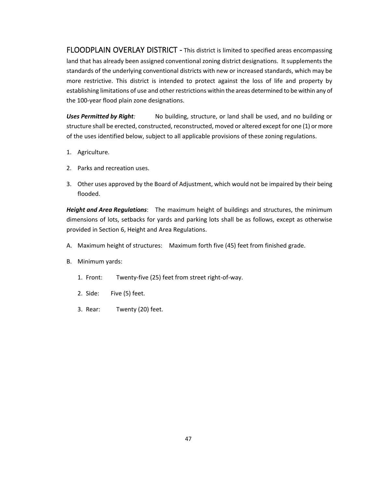FLOODPLAIN OVERLAY DISTRICT - This district is limited to specified areas encompassing land that has already been assigned conventional zoning district designations. It supplements the standards of the underlying conventional districts with new or increased standards, which may be more restrictive. This district is intended to protect against the loss of life and property by establishing limitations of use and other restrictions within the areas determined to be within any of the 100-year flood plain zone designations.

Uses Permitted by Right: No building, structure, or land shall be used, and no building or structure shall be erected, constructed, reconstructed, moved or altered except for one (1) or more of the uses identified below, subject to all applicable provisions of these zoning regulations.

- 1. Agriculture.
- 2. Parks and recreation uses.
- 3. Other uses approved by the Board of Adjustment, which would not be impaired by their being flooded.

*Height and Area Regulations*: The maximum height of buildings and structures, the minimum dimensions of lots, setbacks for yards and parking lots shall be as follows, except as otherwise provided in Section 6, Height and Area Regulations.

- A. Maximum height of structures: Maximum forth five (45) feet from finished grade.
- B. Minimum yards:
	- 1. Front: Twenty-five (25) feet from street right-of-way.
	- 2. Side: Five (5) feet.
	- 3. Rear: Twenty (20) feet.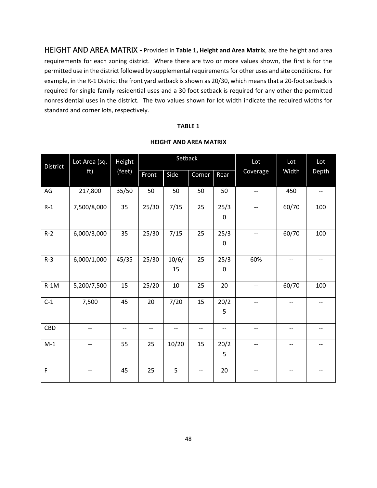HEIGHT AND AREA MATRIX - Provided in **Table 1, Height and Area Matrix**, are the height and area requirements for each zoning district. Where there are two or more values shown, the first is for the permitted use in the district followed by supplemental requirements for other uses and site conditions. For example, in the R-1 District the front yard setback is shown as 20/30, which means that a 20-foot setback is required for single family residential uses and a 30 foot setback is required for any other the permitted nonresidential uses in the district. The two values shown for lot width indicate the required widths for standard and corner lots, respectively.

#### **TABLE 1**

|          | Lot Area (sq.<br>ft) | Height<br>(feet) | Setback |                   |        |                          | Lot                      | Lot   | Lot   |
|----------|----------------------|------------------|---------|-------------------|--------|--------------------------|--------------------------|-------|-------|
| District |                      |                  | Front   | Side              | Corner | Rear                     | Coverage                 | Width | Depth |
|          |                      |                  |         |                   |        |                          |                          |       |       |
| AG       | 217,800              | 35/50            | 50      | 50                | 50     | 50                       | $\overline{\phantom{a}}$ | 450   | $-$   |
|          |                      |                  |         |                   |        |                          |                          |       |       |
| $R-1$    | 7,500/8,000          | 35               | 25/30   | 7/15              | 25     | 25/3                     | $\overline{\phantom{a}}$ | 60/70 | 100   |
|          |                      |                  |         |                   |        | 0                        |                          |       |       |
|          |                      |                  |         |                   |        |                          |                          |       |       |
| $R-2$    | 6,000/3,000          | 35               | 25/30   | 7/15              | 25     | 25/3                     | --                       | 60/70 | 100   |
|          |                      |                  |         |                   |        | $\mathbf 0$              |                          |       |       |
| $R-3$    | 6,000/1,000          | 45/35            | 25/30   | 10/6/             | 25     | 25/3                     | 60%                      | $-$   |       |
|          |                      |                  |         | 15                |        | $\mathbf 0$              |                          |       |       |
|          |                      |                  |         |                   |        |                          |                          |       |       |
| $R-1M$   | 5,200/7,500          | 15               | 25/20   | 10                | 25     | 20                       | $\overline{\phantom{a}}$ | 60/70 | 100   |
| $C-1$    | 7,500                | 45               | 20      | 7/20              | 15     | 20/2                     | $\overline{\phantom{0}}$ | $- -$ |       |
|          |                      |                  |         |                   |        | 5                        |                          |       |       |
|          |                      |                  |         |                   |        |                          |                          |       |       |
| CBD      | $-$                  | --               | --      | $\qquad \qquad -$ | $-$    | $\overline{\phantom{a}}$ | --                       | --    | $-$   |
| $M-1$    | --                   | 55               | 25      | 10/20             | 15     | 20/2                     | $\overline{\phantom{a}}$ | --    | $-$   |
|          |                      |                  |         |                   |        | 5                        |                          |       |       |
| F        | --                   | 45               | 25      | 5                 | $-$    | 20                       | $-$                      | --    |       |

# **HEIGHT AND AREA MATRIX**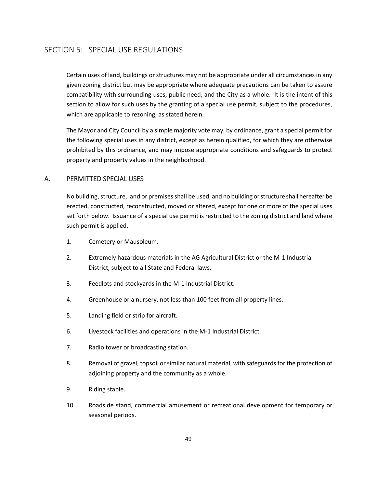# <span id="page-49-0"></span>SECTION 5: SPECIAL USE REGULATIONS

Certain uses of land, buildings or structures may not be appropriate under all circumstances in any given zoning district but may be appropriate where adequate precautions can be taken to assure compatibility with surrounding uses, public need, and the City as a whole. It is the intent of this section to allow for such uses by the granting of a special use permit, subject to the procedures, which are applicable to rezoning, as stated herein.

The Mayor and City Council by a simple majority vote may, by ordinance, grant a special permit for the following special uses in any district, except as herein qualified, for which they are otherwise prohibited by this ordinance, and may impose appropriate conditions and safeguards to protect property and property values in the neighborhood.

#### <span id="page-49-1"></span>A. PERMITTED SPECIAL USES

No building, structure, land or premises shall be used, and no building or structure shall hereafter be erected, constructed, reconstructed, moved or altered, except for one or more of the special uses set forth below. Issuance of a special use permit is restricted to the zoning district and land where such permit is applied.

- 1. Cemetery or Mausoleum.
- 2. Extremely hazardous materials in the AG Agricultural District or the M-1 Industrial District, subject to all State and Federal laws.
- 3. Feedlots and stockyards in the M-1 Industrial District.
- 4. Greenhouse or a nursery, not less than 100 feet from all property lines.
- 5. Landing field or strip for aircraft.
- 6. Livestock facilities and operations in the M-1 Industrial District.
- 7. Radio tower or broadcasting station.
- 8. Removal of gravel, topsoil or similar natural material, with safeguards for the protection of adjoining property and the community as a whole.
- 9. Riding stable.
- 10. Roadside stand, commercial amusement or recreational development for temporary or seasonal periods.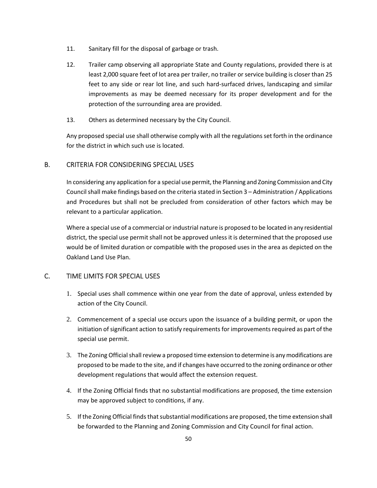- 11. Sanitary fill for the disposal of garbage or trash.
- 12. Trailer camp observing all appropriate State and County regulations, provided there is at least 2,000 square feet of lot area per trailer, no trailer or service building is closer than 25 feet to any side or rear lot line, and such hard-surfaced drives, landscaping and similar improvements as may be deemed necessary for its proper development and for the protection of the surrounding area are provided.
- 13. Others as determined necessary by the City Council.

Any proposed special use shall otherwise comply with all the regulations set forth in the ordinance for the district in which such use is located.

# <span id="page-50-0"></span>B. CRITERIA FOR CONSIDERING SPECIAL USES

In considering any application for a special use permit, the Planning and Zoning Commission and City Council shall make findings based on the criteria stated in Section 3 – Administration / Applications and Procedures but shall not be precluded from consideration of other factors which may be relevant to a particular application.

Where a special use of a commercial or industrial nature is proposed to be located in any residential district, the special use permit shall not be approved unless it is determined that the proposed use would be of limited duration or compatible with the proposed uses in the area as depicted on the Oakland Land Use Plan.

# <span id="page-50-1"></span>C. TIME LIMITS FOR SPECIAL USES

- 1. Special uses shall commence within one year from the date of approval, unless extended by action of the City Council.
- 2. Commencement of a special use occurs upon the issuance of a building permit, or upon the initiation of significant action to satisfy requirements for improvements required as part of the special use permit.
- 3. The Zoning Official shall review a proposed time extension to determine is any modifications are proposed to be made to the site, and if changes have occurred to the zoning ordinance or other development regulations that would affect the extension request.
- 4. If the Zoning Official finds that no substantial modifications are proposed, the time extension may be approved subject to conditions, if any.
- 5. If the Zoning Official finds that substantial modifications are proposed, the time extension shall be forwarded to the Planning and Zoning Commission and City Council for final action.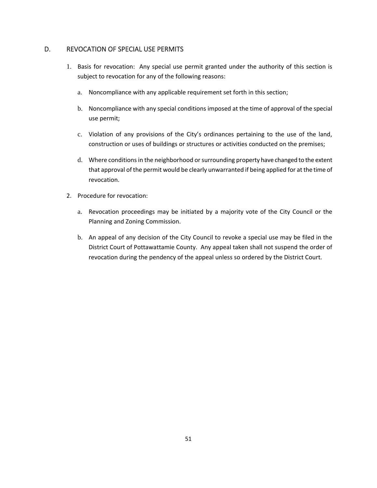# <span id="page-51-0"></span>D. REVOCATION OF SPECIAL USE PERMITS

- 1. Basis for revocation: Any special use permit granted under the authority of this section is subject to revocation for any of the following reasons:
	- a. Noncompliance with any applicable requirement set forth in this section;
	- b. Noncompliance with any special conditions imposed at the time of approval of the special use permit;
	- c. Violation of any provisions of the City's ordinances pertaining to the use of the land, construction or uses of buildings or structures or activities conducted on the premises;
	- d. Where conditions in the neighborhood or surrounding property have changed to the extent that approval of the permit would be clearly unwarranted if being applied for at the time of revocation.
- 2. Procedure for revocation:
	- a. Revocation proceedings may be initiated by a majority vote of the City Council or the Planning and Zoning Commission.
	- b. An appeal of any decision of the City Council to revoke a special use may be filed in the District Court of Pottawattamie County. Any appeal taken shall not suspend the order of revocation during the pendency of the appeal unless so ordered by the District Court.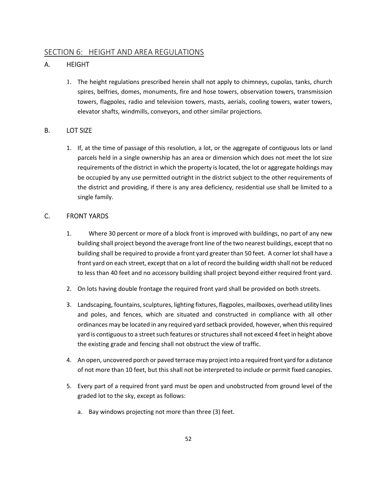# <span id="page-52-0"></span>SECTION 6: HEIGHT AND AREA REGULATIONS

# <span id="page-52-1"></span>A. HEIGHT

1. The height regulations prescribed herein shall not apply to chimneys, cupolas, tanks, church spires, belfries, domes, monuments, fire and hose towers, observation towers, transmission towers, flagpoles, radio and television towers, masts, aerials, cooling towers, water towers, elevator shafts, windmills, conveyors, and other similar projections.

# <span id="page-52-2"></span>B. LOT SIZE

1. If, at the time of passage of this resolution, a lot, or the aggregate of contiguous lots or land parcels held in a single ownership has an area or dimension which does not meet the lot size requirements of the district in which the property is located, the lot or aggregate holdings may be occupied by any use permitted outright in the district subject to the other requirements of the district and providing, if there is any area deficiency, residential use shall be limited to a single family.

# <span id="page-52-3"></span>C. FRONT YARDS

- 1. Where 30 percent or more of a block front is improved with buildings, no part of any new building shall project beyond the average front line of the two nearest buildings, except that no building shall be required to provide a front yard greater than 50 feet. A corner lot shall have a front yard on each street, except that on a lot of record the building width shall not be reduced to less than 40 feet and no accessory building shall project beyond either required front yard.
- 2. On lots having double frontage the required front yard shall be provided on both streets.
- 3. Landscaping, fountains, sculptures, lighting fixtures, flagpoles, mailboxes, overhead utility lines and poles, and fences, which are situated and constructed in compliance with all other ordinances may be located in any required yard setback provided, however, when this required yard is contiguous to a street such features or structures shall not exceed 4 feet in height above the existing grade and fencing shall not obstruct the view of traffic.
- 4. An open, uncovered porch or paved terrace may project into a required front yard for a distance of not more than 10 feet, but this shall not be interpreted to include or permit fixed canopies.
- 5. Every part of a required front yard must be open and unobstructed from ground level of the graded lot to the sky, except as follows:
	- a. Bay windows projecting not more than three (3) feet.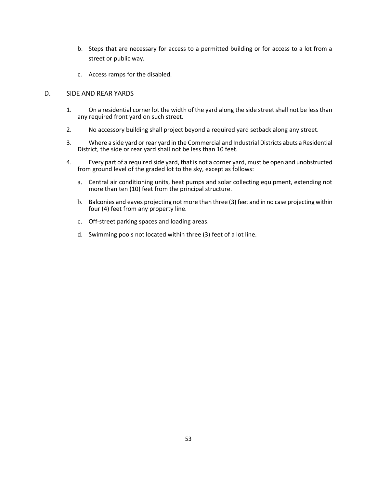- b. Steps that are necessary for access to a permitted building or for access to a lot from a street or public way.
- c. Access ramps for the disabled.

#### <span id="page-53-0"></span>D. SIDE AND REAR YARDS

- 1. On a residential corner lot the width of the yard along the side street shall not be less than any required front yard on such street.
- 2. No accessory building shall project beyond a required yard setback along any street.
- 3. Where a side yard or rear yard in the Commercial and Industrial Districts abuts a Residential District, the side or rear yard shall not be less than 10 feet.
- 4. Every part of a required side yard, that is not a corner yard, must be open and unobstructed from ground level of the graded lot to the sky, except as follows:
	- a. Central air conditioning units, heat pumps and solar collecting equipment, extending not more than ten (10) feet from the principal structure.
	- b. Balconies and eaves projecting not more than three (3) feet and in no case projecting within four (4) feet from any property line.
	- c. Off-street parking spaces and loading areas.
	- d. Swimming pools not located within three (3) feet of a lot line.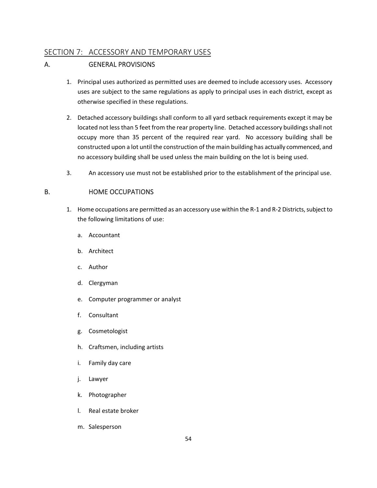# <span id="page-54-0"></span>SECTION 7: ACCESSORY AND TEMPORARY USES

# <span id="page-54-1"></span>A. GENERAL PROVISIONS

- 1. Principal uses authorized as permitted uses are deemed to include accessory uses. Accessory uses are subject to the same regulations as apply to principal uses in each district, except as otherwise specified in these regulations.
- 2. Detached accessory buildings shall conform to all yard setback requirements except it may be located not less than 5 feet from the rear property line. Detached accessory buildings shall not occupy more than 35 percent of the required rear yard. No accessory building shall be constructed upon a lot until the construction of the main building has actually commenced, and no accessory building shall be used unless the main building on the lot is being used.
- 3. An accessory use must not be established prior to the establishment of the principal use.

# <span id="page-54-2"></span>B. HOME OCCUPATIONS

- 1. Home occupations are permitted as an accessory use within the R-1 and R-2 Districts, subject to the following limitations of use:
	- a. Accountant
	- b. Architect
	- c. Author
	- d. Clergyman
	- e. Computer programmer or analyst
	- f. Consultant
	- g. Cosmetologist
	- h. Craftsmen, including artists
	- i. Family day care
	- j. Lawyer
	- k. Photographer
	- l. Real estate broker
	- m. Salesperson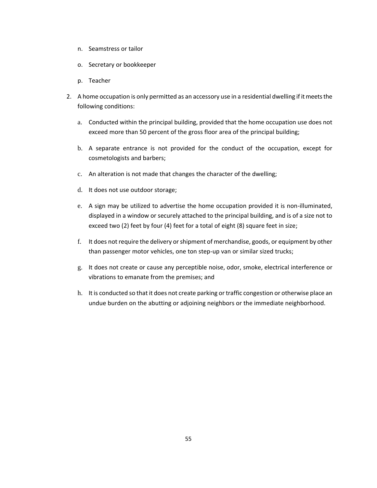- n. Seamstress or tailor
- o. Secretary or bookkeeper
- p. Teacher
- 2. A home occupation is only permitted as an accessory use in a residential dwelling if it meets the following conditions:
	- a. Conducted within the principal building, provided that the home occupation use does not exceed more than 50 percent of the gross floor area of the principal building;
	- b. A separate entrance is not provided for the conduct of the occupation, except for cosmetologists and barbers;
	- c. An alteration is not made that changes the character of the dwelling;
	- d. It does not use outdoor storage;
	- e. A sign may be utilized to advertise the home occupation provided it is non-illuminated, displayed in a window or securely attached to the principal building, and is of a size not to exceed two (2) feet by four (4) feet for a total of eight (8) square feet in size;
	- f. It does not require the delivery or shipment of merchandise, goods, or equipment by other than passenger motor vehicles, one ton step-up van or similar sized trucks;
	- g. It does not create or cause any perceptible noise, odor, smoke, electrical interference or vibrations to emanate from the premises; and
	- h. It is conducted so that it does not create parking or traffic congestion or otherwise place an undue burden on the abutting or adjoining neighbors or the immediate neighborhood.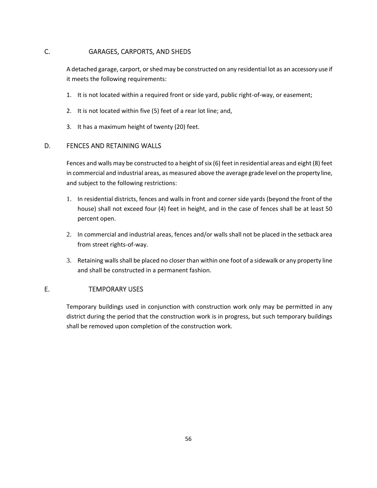# <span id="page-56-0"></span>C. GARAGES, CARPORTS, AND SHEDS

A detached garage, carport, or shed may be constructed on any residential lot as an accessory use if it meets the following requirements:

- 1. It is not located within a required front or side yard, public right-of-way, or easement;
- 2. It is not located within five (5) feet of a rear lot line; and,
- 3. It has a maximum height of twenty (20) feet.

# <span id="page-56-1"></span>D. FENCES AND RETAINING WALLS

Fences and walls may be constructed to a height of six (6) feet in residential areas and eight (8) feet in commercial and industrial areas, as measured above the average grade level on the property line, and subject to the following restrictions:

- 1. In residential districts, fences and walls in front and corner side yards (beyond the front of the house) shall not exceed four (4) feet in height, and in the case of fences shall be at least 50 percent open.
- 2. In commercial and industrial areas, fences and/or walls shall not be placed in the setback area from street rights-of-way.
- 3. Retaining walls shall be placed no closer than within one foot of a sidewalk or any property line and shall be constructed in a permanent fashion.

# <span id="page-56-2"></span>E. TEMPORARY USES

Temporary buildings used in conjunction with construction work only may be permitted in any district during the period that the construction work is in progress, but such temporary buildings shall be removed upon completion of the construction work.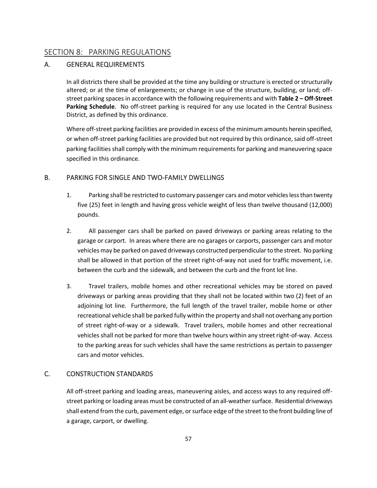# <span id="page-57-0"></span>SECTION 8: PARKING REGULATIONS

# <span id="page-57-1"></span>A. GENERAL REQUIREMENTS

In all districts there shall be provided at the time any building or structure is erected or structurally altered; or at the time of enlargements; or change in use of the structure, building, or land; offstreet parking spaces in accordance with the following requirements and with **Table 2 – Off-Street Parking Schedule**. No off-street parking is required for any use located in the Central Business District, as defined by this ordinance.

Where off-street parking facilities are provided in excess of the minimum amounts herein specified, or when off-street parking facilities are provided but not required by this ordinance, said off-street parking facilities shall comply with the minimum requirements for parking and maneuvering space specified in this ordinance.

#### <span id="page-57-2"></span>B. PARKING FOR SINGLE AND TWO-FAMILY DWELLINGS

- 1. Parking shall be restricted to customary passenger cars and motor vehicles less than twenty five (25) feet in length and having gross vehicle weight of less than twelve thousand (12,000) pounds.
- 2. All passenger cars shall be parked on paved driveways or parking areas relating to the garage or carport. In areas where there are no garages or carports, passenger cars and motor vehicles may be parked on paved driveways constructed perpendicular to the street. No parking shall be allowed in that portion of the street right-of-way not used for traffic movement, i.e. between the curb and the sidewalk, and between the curb and the front lot line.
- 3. Travel trailers, mobile homes and other recreational vehicles may be stored on paved driveways or parking areas providing that they shall not be located within two (2) feet of an adjoining lot line. Furthermore, the full length of the travel trailer, mobile home or other recreational vehicle shall be parked fully within the property and shall not overhang any portion of street right-of-way or a sidewalk. Travel trailers, mobile homes and other recreational vehicles shall not be parked for more than twelve hours within any street right-of-way. Access to the parking areas for such vehicles shall have the same restrictions as pertain to passenger cars and motor vehicles.

# <span id="page-57-3"></span>C. CONSTRUCTION STANDARDS

All off-street parking and loading areas, maneuvering aisles, and access ways to any required offstreet parking or loading areas must be constructed of an all-weather surface. Residential driveways shall extend from the curb, pavement edge, or surface edge of the street to the front building line of a garage, carport, or dwelling.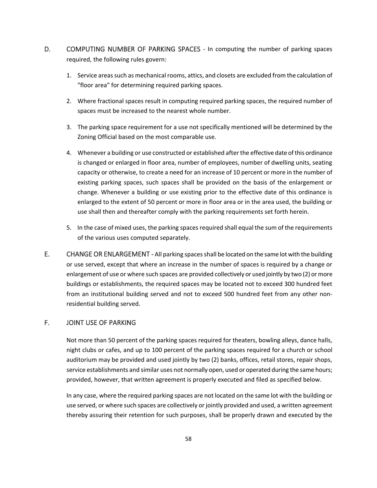- <span id="page-58-0"></span>D. COMPUTING NUMBER OF PARKING SPACES - In computing the number of parking spaces required, the following rules govern:
	- 1. Service areas such as mechanical rooms, attics, and closets are excluded from the calculation of "floor area" for determining required parking spaces.
	- 2. Where fractional spaces result in computing required parking spaces, the required number of spaces must be increased to the nearest whole number.
	- 3. The parking space requirement for a use not specifically mentioned will be determined by the Zoning Official based on the most comparable use.
	- 4. Whenever a building or use constructed or established after the effective date of this ordinance is changed or enlarged in floor area, number of employees, number of dwelling units, seating capacity or otherwise, to create a need for an increase of 10 percent or more in the number of existing parking spaces, such spaces shall be provided on the basis of the enlargement or change. Whenever a building or use existing prior to the effective date of this ordinance is enlarged to the extent of 50 percent or more in floor area or in the area used, the building or use shall then and thereafter comply with the parking requirements set forth herein.
	- 5. In the case of mixed uses, the parking spaces required shall equal the sum of the requirements of the various uses computed separately.
- <span id="page-58-1"></span>E. CHANGE OR ENLARGEMENT - All parking spaces shall be located on the same lot with the building or use served, except that where an increase in the number of spaces is required by a change or enlargement of use or where such spaces are provided collectively or used jointly by two (2) or more buildings or establishments, the required spaces may be located not to exceed 300 hundred feet from an institutional building served and not to exceed 500 hundred feet from any other nonresidential building served.

# <span id="page-58-2"></span>F. JOINT USE OF PARKING

Not more than 50 percent of the parking spaces required for theaters, bowling alleys, dance halls, night clubs or cafes, and up to 100 percent of the parking spaces required for a church or school auditorium may be provided and used jointly by two (2) banks, offices, retail stores, repair shops, service establishments and similar uses not normally open, used or operated during the same hours; provided, however, that written agreement is properly executed and filed as specified below.

In any case, where the required parking spaces are not located on the same lot with the building or use served, or where such spaces are collectively or jointly provided and used, a written agreement thereby assuring their retention for such purposes, shall be properly drawn and executed by the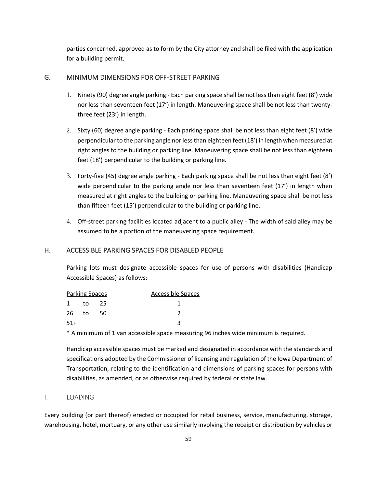parties concerned, approved as to form by the City attorney and shall be filed with the application for a building permit.

#### <span id="page-59-0"></span>G. MINIMUM DIMENSIONS FOR OFF-STREET PARKING

- 1. Ninety (90) degree angle parking Each parking space shall be not less than eight feet (8') wide nor less than seventeen feet (17') in length. Maneuvering space shall be not less than twentythree feet (23') in length.
- 2. Sixty (60) degree angle parking Each parking space shall be not less than eight feet (8') wide perpendicular to the parking angle nor less than eighteen feet (18') in length when measured at right angles to the building or parking line. Maneuvering space shall be not less than eighteen feet (18') perpendicular to the building or parking line.
- 3. Forty-five (45) degree angle parking Each parking space shall be not less than eight feet (8') wide perpendicular to the parking angle nor less than seventeen feet (17') in length when measured at right angles to the building or parking line. Maneuvering space shall be not less than fifteen feet (15') perpendicular to the building or parking line.
- 4. Off-street parking facilities located adjacent to a public alley The width of said alley may be assumed to be a portion of the maneuvering space requirement.

#### <span id="page-59-1"></span>H. ACCESSIBLE PARKING SPACES FOR DISABLED PEOPLE

Parking lots must designate accessible spaces for use of persons with disabilities (Handicap Accessible Spaces) as follows:

|              | <b>Parking Spaces</b> |    | Accessible Spaces |
|--------------|-----------------------|----|-------------------|
| $\mathbf{1}$ | to                    | 25 |                   |
| 26           | to                    | 50 |                   |
| $51+$        |                       |    |                   |

\* A minimum of 1 van accessible space measuring 96 inches wide minimum is required.

Handicap accessible spaces must be marked and designated in accordance with the standards and specifications adopted by the Commissioner of licensing and regulation of the Iowa Department of Transportation, relating to the identification and dimensions of parking spaces for persons with disabilities, as amended, or as otherwise required by federal or state law.

#### <span id="page-59-2"></span>I. LOADING

Every building (or part thereof) erected or occupied for retail business, service, manufacturing, storage, warehousing, hotel, mortuary, or any other use similarly involving the receipt or distribution by vehicles or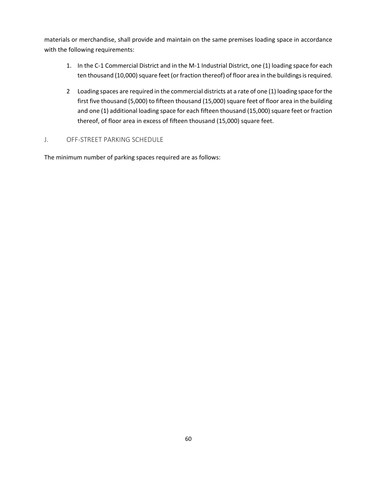materials or merchandise, shall provide and maintain on the same premises loading space in accordance with the following requirements:

- 1. In the C-1 Commercial District and in the M-1 Industrial District, one (1) loading space for each ten thousand (10,000) square feet (or fraction thereof) of floor area in the buildings is required.
- 2 Loading spaces are required in the commercial districts at a rate of one (1) loading space for the first five thousand (5,000) to fifteen thousand (15,000) square feet of floor area in the building and one (1) additional loading space for each fifteen thousand (15,000) square feet or fraction thereof, of floor area in excess of fifteen thousand (15,000) square feet.

# <span id="page-60-0"></span>J. OFF-STREET PARKING SCHEDULE

The minimum number of parking spaces required are as follows: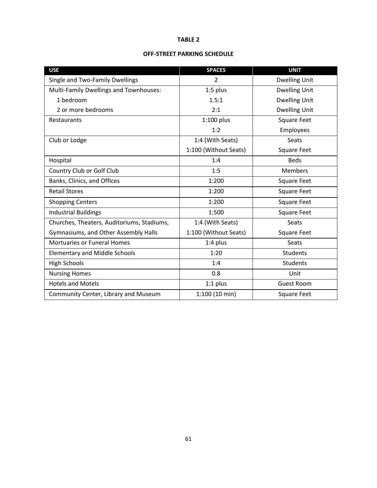#### **TABLE 2**

#### **OFF-STREET PARKING SCHEDULE**

| <b>USE</b>                                 | <b>SPACES</b>         | <b>UNIT</b>          |
|--------------------------------------------|-----------------------|----------------------|
| Single and Two-Family Dwellings            | $\overline{2}$        | <b>Dwelling Unit</b> |
| Multi-Family Dwellings and Townhouses:     | 1:5 plus              | <b>Dwelling Unit</b> |
| 1 bedroom                                  | 1.5:1                 | <b>Dwelling Unit</b> |
| 2 or more bedrooms                         | 2:1                   | <b>Dwelling Unit</b> |
| Restaurants                                | $1:100$ plus          | <b>Square Feet</b>   |
|                                            | 1:2                   | Employees            |
| Club or Lodge                              | 1:4 (With Seats)      | Seats                |
|                                            | 1:100 (Without Seats) | <b>Square Feet</b>   |
| Hospital                                   | 1:4                   | <b>Beds</b>          |
| Country Club or Golf Club                  | 1:5                   | <b>Members</b>       |
| Banks, Clinics, and Offices                | 1:200                 | Square Feet          |
| <b>Retail Stores</b>                       | 1:200                 | Square Feet          |
| <b>Shopping Centers</b>                    | 1:200                 | Square Feet          |
| <b>Industrial Buildings</b>                | 1:500                 | Square Feet          |
| Churches, Theaters, Auditoriums, Stadiums, | 1:4 (With Seats)      | <b>Seats</b>         |
| Gymnasiums, and Other Assembly Halls       | 1:100 (Without Seats) | <b>Square Feet</b>   |
| <b>Mortuaries or Funeral Homes</b>         | 1:4 plus              | Seats                |
| <b>Elementary and Middle Schools</b>       | 1:20                  | <b>Students</b>      |
| <b>High Schools</b>                        | 1:4                   | <b>Students</b>      |
| <b>Nursing Homes</b>                       | 0.8                   | Unit                 |
| <b>Hotels and Motels</b>                   | $1:1$ plus            | Guest Room           |
| Community Center, Library and Museum       | 1:100 (10 min)        | <b>Square Feet</b>   |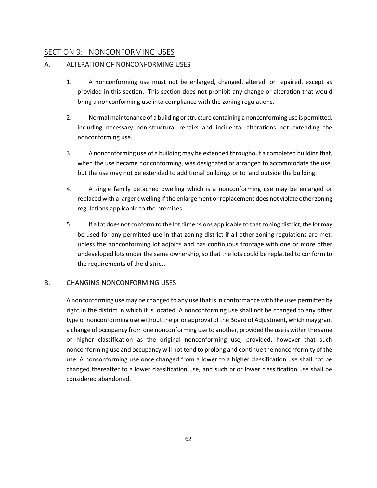# <span id="page-62-0"></span>SECTION 9: NONCONFORMING USES

# <span id="page-62-1"></span>A. ALTERATION OF NONCONFORMING USES

- 1. A nonconforming use must not be enlarged, changed, altered, or repaired, except as provided in this section. This section does not prohibit any change or alteration that would bring a nonconforming use into compliance with the zoning regulations.
- 2. Normal maintenance of a building or structure containing a nonconforming use is permitted, including necessary non-structural repairs and incidental alterations not extending the nonconforming use.
- 3. A nonconforming use of a building may be extended throughout a completed building that, when the use became nonconforming, was designated or arranged to accommodate the use, but the use may not be extended to additional buildings or to land outside the building.
- 4. A single family detached dwelling which is a nonconforming use may be enlarged or replaced with a larger dwelling if the enlargement or replacement does not violate other zoning regulations applicable to the premises.
- 5. If a lot does not conform to the lot dimensions applicable to that zoning district, the lot may be used for any permitted use in that zoning district if all other zoning regulations are met, unless the nonconforming lot adjoins and has continuous frontage with one or more other undeveloped lots under the same ownership, so that the lots could be replatted to conform to the requirements of the district.

#### <span id="page-62-2"></span>B. CHANGING NONCONFORMING USES

A nonconforming use may be changed to any use that is in conformance with the uses permitted by right in the district in which it is located. A nonconforming use shall not be changed to any other type of nonconforming use without the prior approval of the Board of Adjustment, which may grant a change of occupancy from one nonconforming use to another, provided the use is within the same or higher classification as the original nonconforming use, provided, however that such nonconforming use and occupancy will not tend to prolong and continue the nonconformity of the use. A nonconforming use once changed from a lower to a higher classification use shall not be changed thereafter to a lower classification use, and such prior lower classification use shall be considered abandoned.